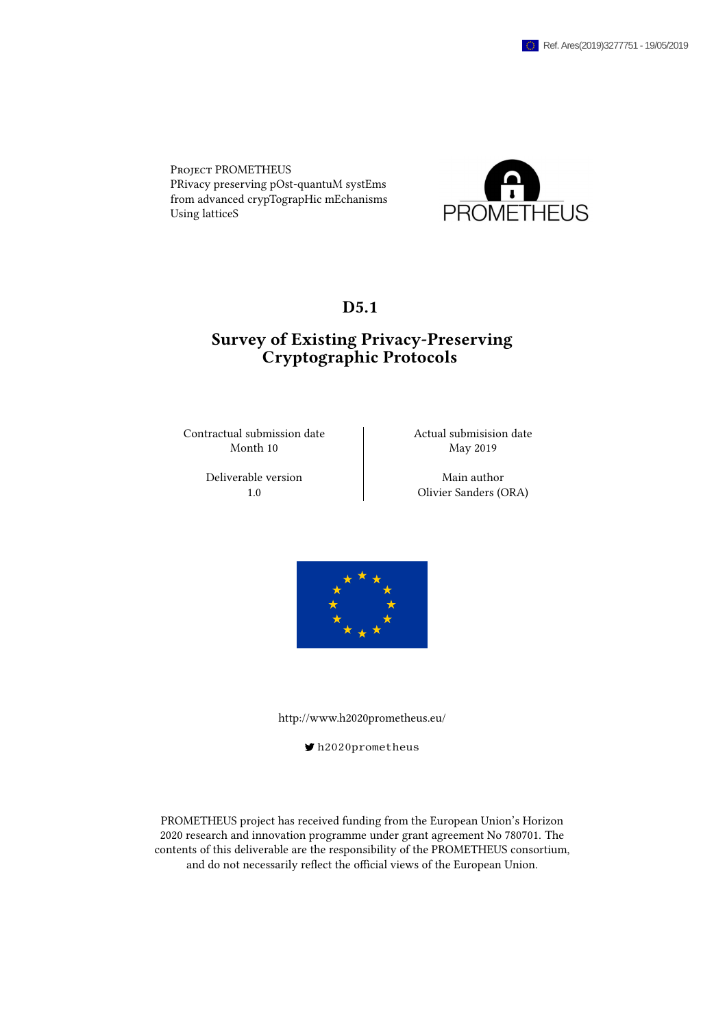Project PROMETHEUS PRivacy preserving pOst-quantuM systEms from advanced crypTograpHic mEchanisms Using latticeS



## D<sub>5</sub>.1

## Survey of Existing Privacy-Preserving Cryptographic Protocols

Contractual submission date  $\vert$  Actual submisision date Month 10 May 2019

Deliverable version author Main author

1.0 Olivier Sanders (ORA)



<http://www.h2020prometheus.eu/>

[h2020prometheus](https://twitter.com/h2020prometheus)

PROMETHEUS project has received funding from the European Union's Horizon 2020 research and innovation programme under grant agreement No 780701. The contents of this deliverable are the responsibility of the PROMETHEUS consortium, and do not necessarily reflect the official views of the European Union.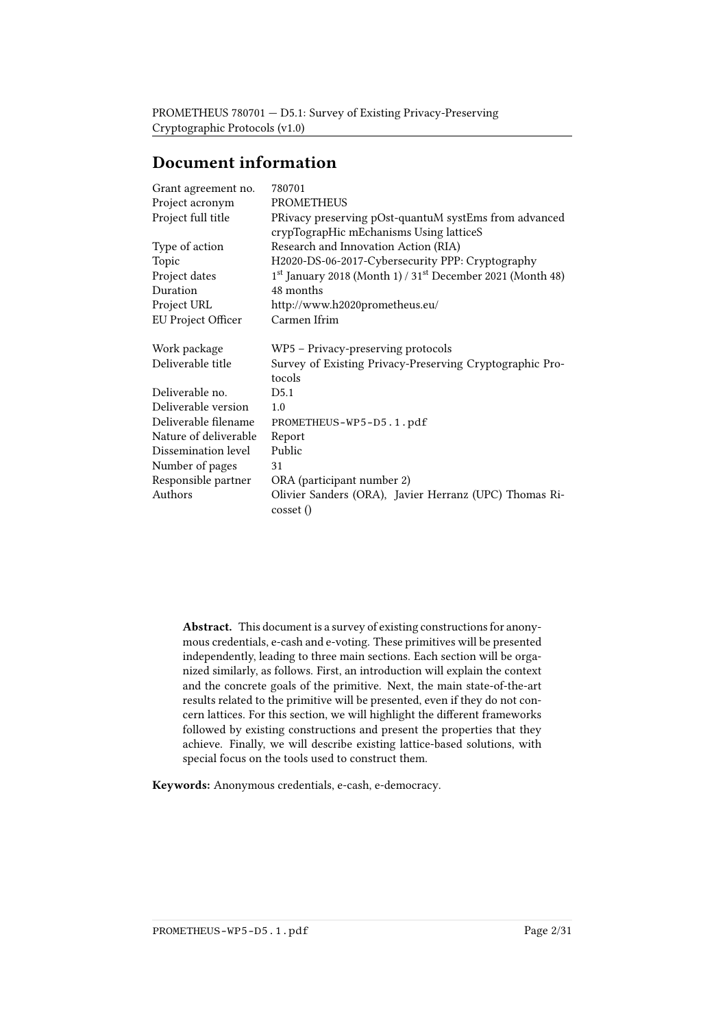# Document information

| Grant agreement no.   | 780701                                                                   |
|-----------------------|--------------------------------------------------------------------------|
| Project acronym       | <b>PROMETHEUS</b>                                                        |
| Project full title    | PRivacy preserving pOst-quantuM systEms from advanced                    |
|                       | crypTograpHic mEchanisms Using latticeS                                  |
| Type of action        | Research and Innovation Action (RIA)                                     |
| Topic                 | H2020-DS-06-2017-Cybersecurity PPP: Cryptography                         |
| Project dates         | $1st$ January 2018 (Month 1) / 31 <sup>st</sup> December 2021 (Month 48) |
| Duration              | 48 months                                                                |
| Project URL           | http://www.h2020prometheus.eu/                                           |
| EU Project Officer    | Carmen Ifrim                                                             |
| Work package          | WP5 - Privacy-preserving protocols                                       |
| Deliverable title     | Survey of Existing Privacy-Preserving Cryptographic Pro-                 |
|                       | tocols                                                                   |
| Deliverable no.       | D5.1                                                                     |
| Deliverable version   | 1.0                                                                      |
| Deliverable filename  | PROMETHEUS-WP5-D5.1.pdf                                                  |
| Nature of deliverable | Report                                                                   |
| Dissemination level   | Public                                                                   |
| Number of pages       | 31                                                                       |
| Responsible partner   | ORA (participant number 2)                                               |
| Authors               | Olivier Sanders (ORA), Javier Herranz (UPC) Thomas Ri-<br>cosset ()      |

Abstract. This document is a survey of existing constructions for anonymous credentials, e-cash and e-voting. These primitives will be presented independently, leading to three main sections. Each section will be organized similarly, as follows. First, an introduction will explain the context and the concrete goals of the primitive. Next, the main state-of-the-art results related to the primitive will be presented, even if they do not concern lattices. For this section, we will highlight the different frameworks followed by existing constructions and present the properties that they achieve. Finally, we will describe existing lattice-based solutions, with special focus on the tools used to construct them.

Keywords: Anonymous credentials, e-cash, e-democracy.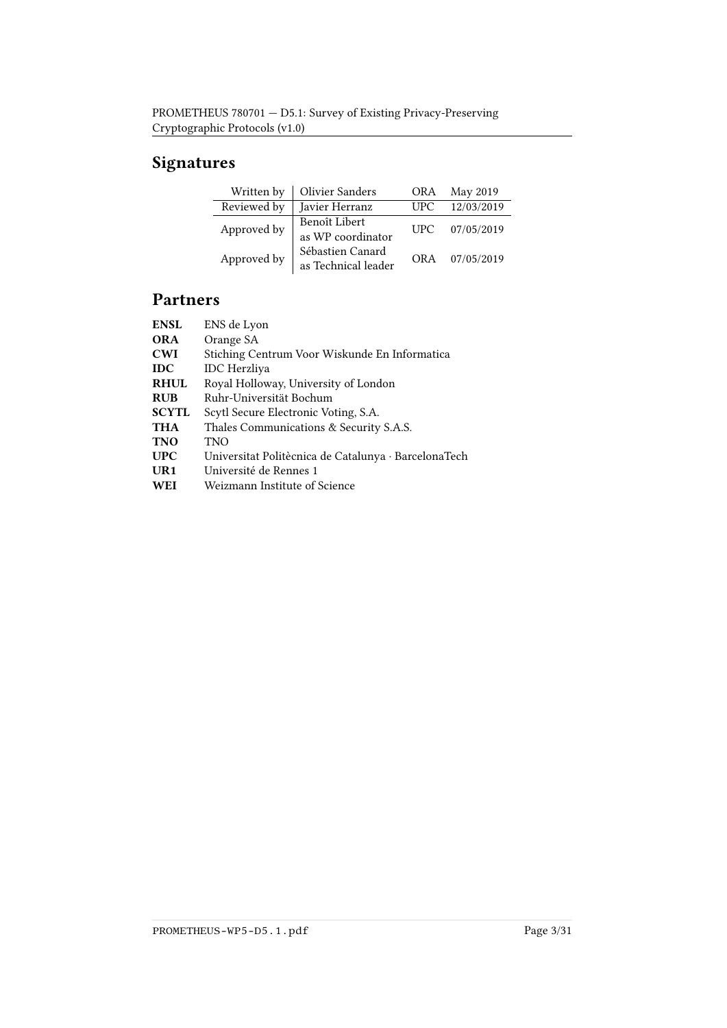# Signatures

| Written by  | <b>Olivier Sanders</b>                              | <b>ORA</b> | May 2019   |
|-------------|-----------------------------------------------------|------------|------------|
| Reviewed by | Javier Herranz                                      | <b>UPC</b> | 12/03/2019 |
| Approved by | Benoît Libert<br>as $\operatorname{WP}$ coordinator | <b>UPC</b> | 07/05/2019 |
| Approved by | Sébastien Canard<br>as Technical leader             | <b>ORA</b> | 07/05/2019 |

# Partners

| <b>ENSL</b>     | ENS de Lyon                                          |
|-----------------|------------------------------------------------------|
| <b>ORA</b>      | Orange SA                                            |
| <b>CWI</b>      | Stiching Centrum Voor Wiskunde En Informatica        |
| <b>IDC</b>      | <b>IDC</b> Herzliya                                  |
| <b>RHUL</b>     | Royal Holloway, University of London                 |
| <b>RUB</b>      | Ruhr-Universität Bochum                              |
| <b>SCYTL</b>    | Scytl Secure Electronic Voting, S.A.                 |
| <b>THA</b>      | Thales Communications & Security S.A.S.              |
| <b>TNO</b>      | TNO                                                  |
| <b>UPC</b>      | Universitat Politècnica de Catalunya · BarcelonaTech |
| U <sub>R1</sub> | Université de Rennes 1                               |
| WEI             | Weizmann Institute of Science                        |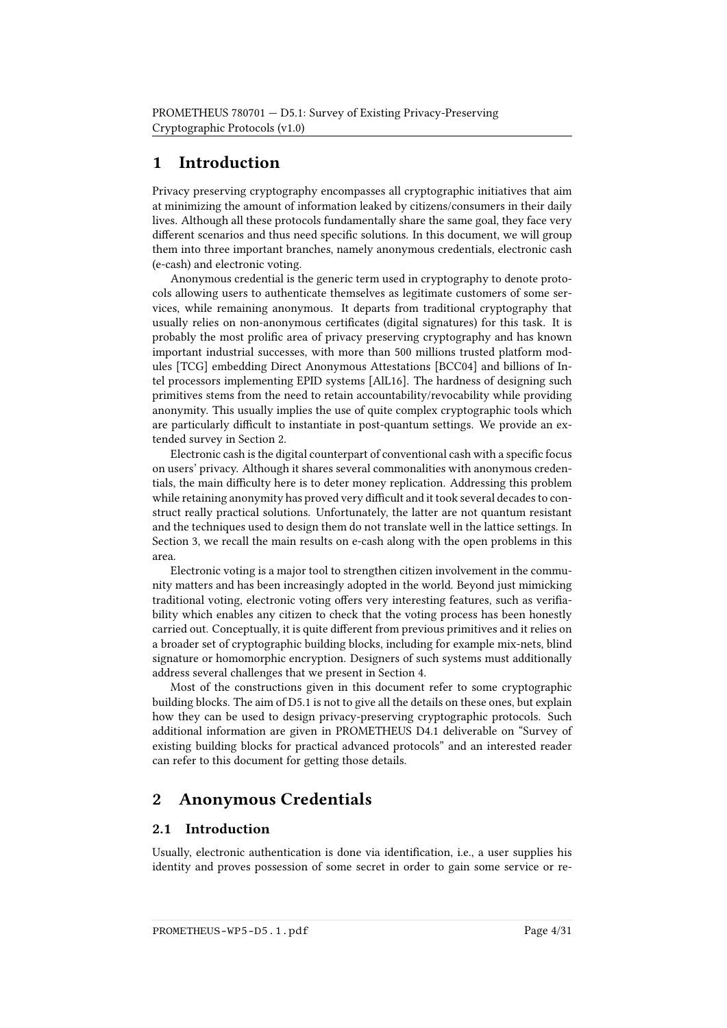# 1 Introduction

Privacy preserving cryptography encompasses all cryptographic initiatives that aim at minimizing the amount of information leaked by citizens/consumers in their daily lives. Although all these protocols fundamentally share the same goal, they face very different scenarios and thus need specific solutions. In this document, we will group them into three important branches, namely anonymous credentials, electronic cash (e-cash) and electronic voting.

Anonymous credential is the generic term used in cryptography to denote protocols allowing users to authenticate themselves as legitimate customers of some services, while remaining anonymous. It departs from traditional cryptography that usually relies on non-anonymous certificates (digital signatures) for this task. It is probably the most prolific area of privacy preserving cryptography and has known important industrial successes, with more than 500 millions trusted platform modules [\[TCG\]](#page-30-0) embedding Direct Anonymous Attestations [\[BCC04\]](#page-21-0) and billions of Intel processors implementing EPID systems [\[AlL16\]](#page-20-0). The hardness of designing such primitives stems from the need to retain accountability/revocability while providing anonymity. This usually implies the use of quite complex cryptographic tools which are particularly difficult to instantiate in post-quantum settings. We provide an extended survey in Section [2.](#page-3-0)

Electronic cash is the digital counterpart of conventional cash with a specific focus on users' privacy. Although it shares several commonalities with anonymous credentials, the main difficulty here is to deter money replication. Addressing this problem while retaining anonymity has proved very difficult and it took several decades to construct really practical solutions. Unfortunately, the latter are not quantum resistant and the techniques used to design them do not translate well in the lattice settings. In Section [3,](#page-7-0) we recall the main results on e-cash along with the open problems in this area.

Electronic voting is a major tool to strengthen citizen involvement in the community matters and has been increasingly adopted in the world. Beyond just mimicking traditional voting, electronic voting offers very interesting features, such as verifiability which enables any citizen to check that the voting process has been honestly carried out. Conceptually, it is quite different from previous primitives and it relies on a broader set of cryptographic building blocks, including for example mix-nets, blind signature or homomorphic encryption. Designers of such systems must additionally address several challenges that we present in Section [4.](#page-12-0)

Most of the constructions given in this document refer to some cryptographic building blocks. The aim of D5.1 is not to give all the details on these ones, but explain how they can be used to design privacy-preserving cryptographic protocols. Such additional information are given in PROMETHEUS D4.1 deliverable on "Survey of existing building blocks for practical advanced protocols" and an interested reader can refer to this document for getting those details.

## <span id="page-3-0"></span>2 Anonymous Credentials

## 2.1 Introduction

Usually, electronic authentication is done via identification, i.e., a user supplies his identity and proves possession of some secret in order to gain some service or re-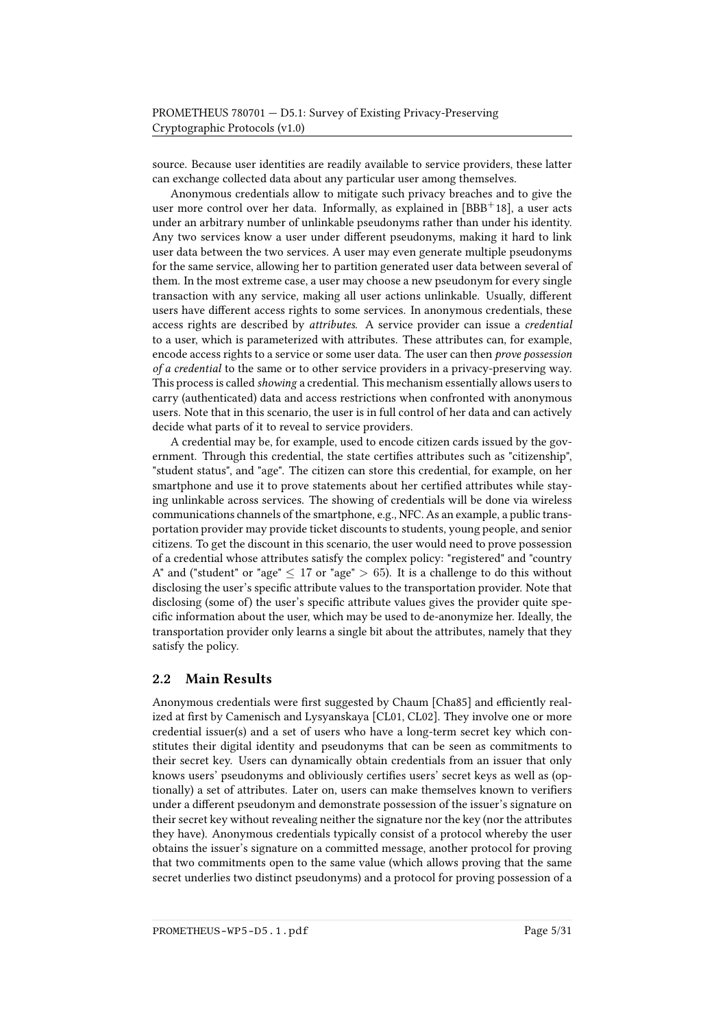source. Because user identities are readily available to service providers, these latter can exchange collected data about any particular user among themselves.

Anonymous credentials allow to mitigate such privacy breaches and to give the user more control over her data. Informally, as explained in  $[BBB<sup>+</sup>18]$  $[BBB<sup>+</sup>18]$ , a user acts under an arbitrary number of unlinkable pseudonyms rather than under his identity. Any two services know a user under different pseudonyms, making it hard to link user data between the two services. A user may even generate multiple pseudonyms for the same service, allowing her to partition generated user data between several of them. In the most extreme case, a user may choose a new pseudonym for every single transaction with any service, making all user actions unlinkable. Usually, different users have different access rights to some services. In anonymous credentials, these access rights are described by attributes. A service provider can issue a credential to a user, which is parameterized with attributes. These attributes can, for example, encode access rights to a service or some user data. The user can then prove possession of a credential to the same or to other service providers in a privacy-preserving way. This process is called showing a credential. This mechanism essentially allows users to carry (authenticated) data and access restrictions when confronted with anonymous users. Note that in this scenario, the user is in full control of her data and can actively decide what parts of it to reveal to service providers.

A credential may be, for example, used to encode citizen cards issued by the government. Through this credential, the state certifies attributes such as "citizenship", "student status", and "age". The citizen can store this credential, for example, on her smartphone and use it to prove statements about her certified attributes while staying unlinkable across services. The showing of credentials will be done via wireless communications channels of the smartphone, e.g., NFC. As an example, a public transportation provider may provide ticket discounts to students, young people, and senior citizens. To get the discount in this scenario, the user would need to prove possession of a credential whose attributes satisfy the complex policy: "registered" and "country A" and ("student" or "age"  $\leq 17$  or "age"  $> 65$ ). It is a challenge to do this without disclosing the user's specific attribute values to the transportation provider. Note that disclosing (some of) the user's specific attribute values gives the provider quite specic information about the user, which may be used to de-anonymize her. Ideally, the transportation provider only learns a single bit about the attributes, namely that they satisfy the policy.

### 2.2 Main Results

Anonymous credentials were first suggested by Chaum [\[Cha85\]](#page-24-0) and efficiently real-ized at first by Camenisch and Lysyanskaya [\[CL01,](#page-24-1) [CL02\]](#page-24-2). They involve one or more credential issuer(s) and a set of users who have a long-term secret key which constitutes their digital identity and pseudonyms that can be seen as commitments to their secret key. Users can dynamically obtain credentials from an issuer that only knows users' pseudonyms and obliviously certifies users' secret keys as well as (optionally) a set of attributes. Later on, users can make themselves known to verifiers under a different pseudonym and demonstrate possession of the issuer's signature on their secret key without revealing neither the signature nor the key (nor the attributes they have). Anonymous credentials typically consist of a protocol whereby the user obtains the issuer's signature on a committed message, another protocol for proving that two commitments open to the same value (which allows proving that the same secret underlies two distinct pseudonyms) and a protocol for proving possession of a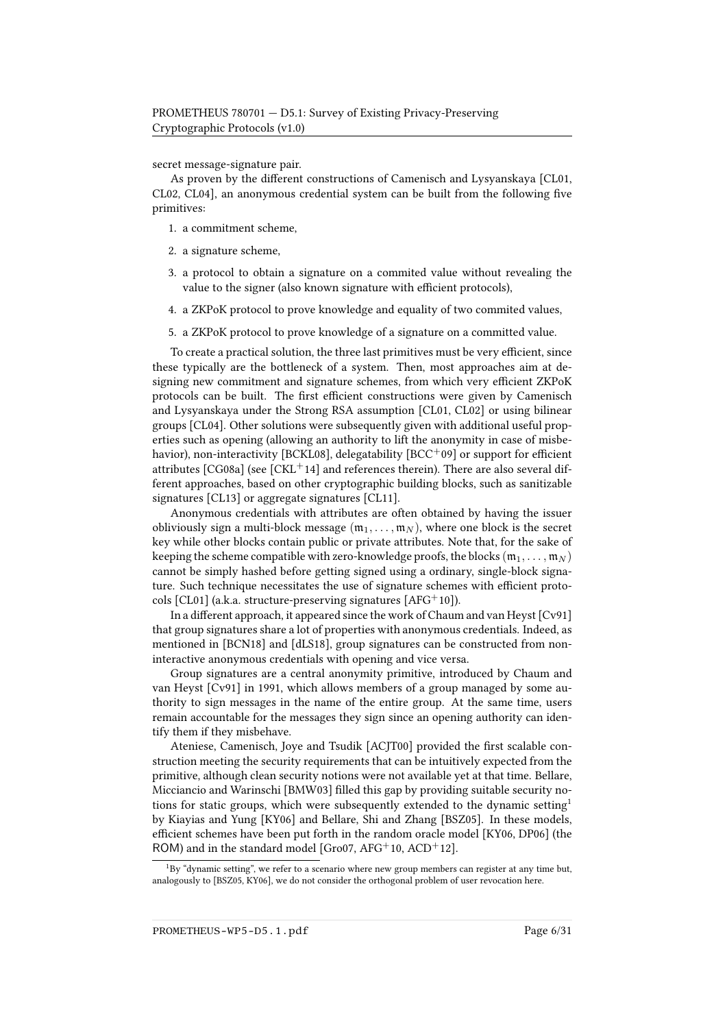secret message-signature pair.

As proven by the different constructions of Camenisch and Lysyanskaya [\[CL01,](#page-24-1) [CL02,](#page-24-2) [CL04\]](#page-24-3), an anonymous credential system can be built from the following five primitives:

- 1. a commitment scheme,
- 2. a signature scheme,
- 3. a protocol to obtain a signature on a commited value without revealing the value to the signer (also known signature with efficient protocols),
- 4. a ZKPoK protocol to prove knowledge and equality of two commited values,
- 5. a ZKPoK protocol to prove knowledge of a signature on a committed value.

To create a practical solution, the three last primitives must be very efficient, since these typically are the bottleneck of a system. Then, most approaches aim at designing new commitment and signature schemes, from which very efficient ZKPoK protocols can be built. The first efficient constructions were given by Camenisch and Lysyanskaya under the Strong RSA assumption [\[CL01,](#page-24-1) [CL02\]](#page-24-2) or using bilinear groups [\[CL04\]](#page-24-3). Other solutions were subsequently given with additional useful properties such as opening (allowing an authority to lift the anonymity in case of misbe-havior), non-interactivity [\[BCKL08\]](#page-21-1), delegatability [\[BCC](#page-21-2)+09] or support for efficient attributes  $[CG08a]$  (see  $[CKL+14]$  $[CKL+14]$  and references therein). There are also several different approaches, based on other cryptographic building blocks, such as sanitizable signatures [\[CL13\]](#page-24-5) or aggregate signatures [\[CL11\]](#page-24-6).

Anonymous credentials with attributes are often obtained by having the issuer obliviously sign a multi-block message  $(m_1, \ldots, m_N)$ , where one block is the secret key while other blocks contain public or private attributes. Note that, for the sake of keeping the scheme compatible with zero-knowledge proofs, the blocks ( $m_1, \ldots, m_N$ ) cannot be simply hashed before getting signed using a ordinary, single-block signature. Such technique necessitates the use of signature schemes with efficient proto-cols [\[CL01\]](#page-24-1) (a.k.a. structure-preserving signatures [\[AFG](#page-20-2)<sup>+</sup>10]).

In a different approach, it appeared since the work of Chaum and van Heyst  $[CV91]$ that group signatures share a lot of properties with anonymous credentials. Indeed, as mentioned in [\[BCN18\]](#page-21-3) and [\[dLS18\]](#page-25-1), group signatures can be constructed from noninteractive anonymous credentials with opening and vice versa.

Group signatures are a central anonymity primitive, introduced by Chaum and van Heyst [\[Cv91\]](#page-25-0) in 1991, which allows members of a group managed by some authority to sign messages in the name of the entire group. At the same time, users remain accountable for the messages they sign since an opening authority can identify them if they misbehave.

Ateniese, Camenisch, Joye and Tsudik [\[ACJT00\]](#page-20-3) provided the first scalable construction meeting the security requirements that can be intuitively expected from the primitive, although clean security notions were not available yet at that time. Bellare, Micciancio and Warinschi [\[BMW03\]](#page-22-0) filled this gap by providing suitable security no-tions for static groups, which were subsequently extended to the dynamic setting<sup>[1](#page-5-0)</sup> by Kiayias and Yung [\[KY06\]](#page-27-0) and Bellare, Shi and Zhang [\[BSZ05\]](#page-22-1). In these models, efficient schemes have been put forth in the random oracle model [\[KY06,](#page-27-0) [DP06\]](#page-25-2) (the ROM) and in the standard model [\[Gro07,](#page-27-1)  $AFG^+$ 10,  $ACD^+$ 12].

<span id="page-5-0"></span> $1By$  "dynamic setting", we refer to a scenario where new group members can register at any time but, analogously to [\[BSZ05,](#page-22-1) [KY06\]](#page-27-0), we do not consider the orthogonal problem of user revocation here.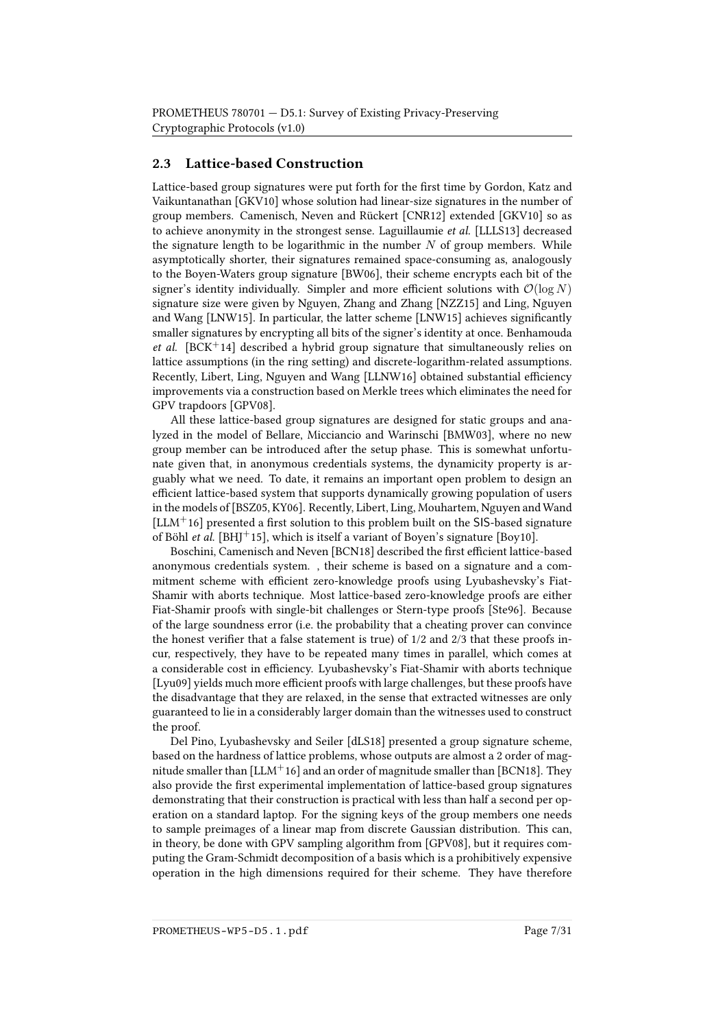## 2.3 Lattice-based Construction

Lattice-based group signatures were put forth for the first time by Gordon, Katz and Vaikuntanathan [\[GKV10\]](#page-26-0) whose solution had linear-size signatures in the number of group members. Camenisch, Neven and Rückert [\[CNR12\]](#page-25-3) extended [\[GKV10\]](#page-26-0) so as to achieve anonymity in the strongest sense. Laguillaumie et al. [\[LLLS13\]](#page-27-2) decreased the signature length to be logarithmic in the number  $N$  of group members. While asymptotically shorter, their signatures remained space-consuming as, analogously to the Boyen-Waters group signature [\[BW06\]](#page-23-1), their scheme encrypts each bit of the signer's identity individually. Simpler and more efficient solutions with  $\mathcal{O}(\log N)$ signature size were given by Nguyen, Zhang and Zhang [\[NZZ15\]](#page-28-0) and Ling, Nguyen and Wang [\[LNW15\]](#page-28-1). In particular, the latter scheme [\[LNW15\]](#page-28-1) achieves signicantly smaller signatures by encrypting all bits of the signer's identity at once. Benhamouda *et al.* [\[BCK](#page-21-4)<sup>+</sup>14] described a hybrid group signature that simultaneously relies on lattice assumptions (in the ring setting) and discrete-logarithm-related assumptions. Recently, Libert, Ling, Nguyen and Wang [\[LLNW16\]](#page-28-2) obtained substantial efficiency improvements via a construction based on Merkle trees which eliminates the need for GPV trapdoors [\[GPV08\]](#page-27-3).

All these lattice-based group signatures are designed for static groups and analyzed in the model of Bellare, Micciancio and Warinschi [\[BMW03\]](#page-22-0), where no new group member can be introduced after the setup phase. This is somewhat unfortunate given that, in anonymous credentials systems, the dynamicity property is arguably what we need. To date, it remains an important open problem to design an efficient lattice-based system that supports dynamically growing population of users in the models of [\[BSZ05,](#page-22-1) [KY06\]](#page-27-0). Recently, Libert, Ling, Mouhartem, Nguyen and Wand  $[LLM+16]$  $[LLM+16]$  presented a first solution to this problem built on the SIS-based signature of Böhl et al. [\[BHJ](#page-22-2)<sup>+</sup>15], which is itself a variant of Boyen's signature [\[Boy10\]](#page-22-3).

Boschini, Camenisch and Neven [\[BCN18\]](#page-21-3) described the first efficient lattice-based anonymous credentials system. , their scheme is based on a signature and a commitment scheme with efficient zero-knowledge proofs using Lyubashevsky's Fiat-Shamir with aborts technique. Most lattice-based zero-knowledge proofs are either Fiat-Shamir proofs with single-bit challenges or Stern-type proofs [\[Ste96\]](#page-30-1). Because of the large soundness error (i.e. the probability that a cheating prover can convince the honest verifier that a false statement is true) of  $1/2$  and  $2/3$  that these proofs incur, respectively, they have to be repeated many times in parallel, which comes at a considerable cost in efficiency. Lyubashevsky's Fiat-Shamir with aborts technique [\[Lyu09\]](#page-28-3) yields much more efficient proofs with large challenges, but these proofs have the disadvantage that they are relaxed, in the sense that extracted witnesses are only guaranteed to lie in a considerably larger domain than the witnesses used to construct the proof.

Del Pino, Lyubashevsky and Seiler [\[dLS18\]](#page-25-1) presented a group signature scheme, based on the hardness of lattice problems, whose outputs are almost a 2 order of magnitude smaller than  $[LLM+16]$  $[LLM+16]$  and an order of magnitude smaller than [\[BCN18\]](#page-21-3). They also provide the first experimental implementation of lattice-based group signatures demonstrating that their construction is practical with less than half a second per operation on a standard laptop. For the signing keys of the group members one needs to sample preimages of a linear map from discrete Gaussian distribution. This can, in theory, be done with GPV sampling algorithm from [\[GPV08\]](#page-27-3), but it requires computing the Gram-Schmidt decomposition of a basis which is a prohibitively expensive operation in the high dimensions required for their scheme. They have therefore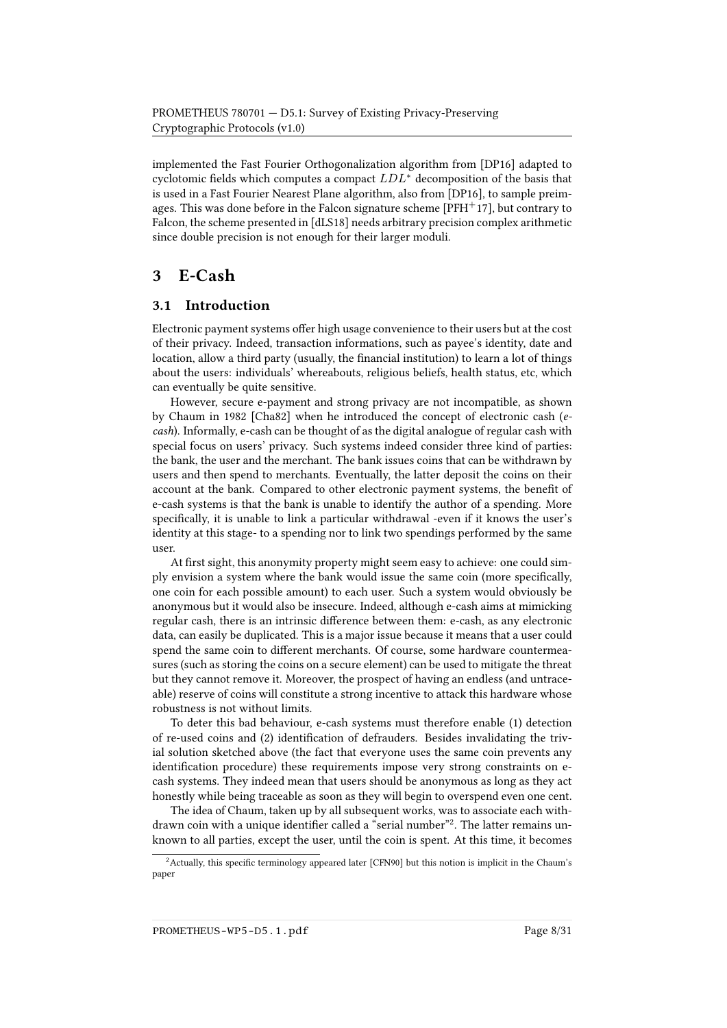implemented the Fast Fourier Orthogonalization algorithm from [\[DP16\]](#page-25-4) adapted to cyclotomic fields which computes a compact  $LDL^*$  decomposition of the basis that is used in a Fast Fourier Nearest Plane algorithm, also from [\[DP16\]](#page-25-4), to sample preimages. This was done before in the Falcon signature scheme  $[PFH^+17]$  $[PFH^+17]$ , but contrary to Falcon, the scheme presented in [\[dLS18\]](#page-25-1) needs arbitrary precision complex arithmetic since double precision is not enough for their larger moduli.

## <span id="page-7-0"></span>3 E-Cash

## 3.1 Introduction

Electronic payment systems offer high usage convenience to their users but at the cost of their privacy. Indeed, transaction informations, such as payee's identity, date and location, allow a third party (usually, the financial institution) to learn a lot of things about the users: individuals' whereabouts, religious beliefs, health status, etc, which can eventually be quite sensitive.

However, secure e-payment and strong privacy are not incompatible, as shown by Chaum in 1982 [\[Cha82\]](#page-24-7) when he introduced the concept of electronic cash (ecash). Informally, e-cash can be thought of as the digital analogue of regular cash with special focus on users' privacy. Such systems indeed consider three kind of parties: the bank, the user and the merchant. The bank issues coins that can be withdrawn by users and then spend to merchants. Eventually, the latter deposit the coins on their account at the bank. Compared to other electronic payment systems, the benefit of e-cash systems is that the bank is unable to identify the author of a spending. More specifically, it is unable to link a particular withdrawal -even if it knows the user's identity at this stage- to a spending nor to link two spendings performed by the same user.

At first sight, this anonymity property might seem easy to achieve: one could simply envision a system where the bank would issue the same coin (more specifically, one coin for each possible amount) to each user. Such a system would obviously be anonymous but it would also be insecure. Indeed, although e-cash aims at mimicking regular cash, there is an intrinsic difference between them: e-cash, as any electronic data, can easily be duplicated. This is a major issue because it means that a user could spend the same coin to different merchants. Of course, some hardware countermeasures (such as storing the coins on a secure element) can be used to mitigate the threat but they cannot remove it. Moreover, the prospect of having an endless (and untraceable) reserve of coins will constitute a strong incentive to attack this hardware whose robustness is not without limits.

To deter this bad behaviour, e-cash systems must therefore enable (1) detection of re-used coins and (2) identification of defrauders. Besides invalidating the trivial solution sketched above (the fact that everyone uses the same coin prevents any identification procedure) these requirements impose very strong constraints on ecash systems. They indeed mean that users should be anonymous as long as they act honestly while being traceable as soon as they will begin to overspend even one cent.

The idea of Chaum, taken up by all subsequent works, was to associate each with-drawn coin with a unique identifier called a "serial number"<sup>[2](#page-7-1)</sup>. The latter remains unknown to all parties, except the user, until the coin is spent. At this time, it becomes

<span id="page-7-1"></span><sup>&</sup>lt;sup>2</sup> Actually, this specific terminology appeared later [\[CFN90\]](#page-23-2) but this notion is implicit in the Chaum's paper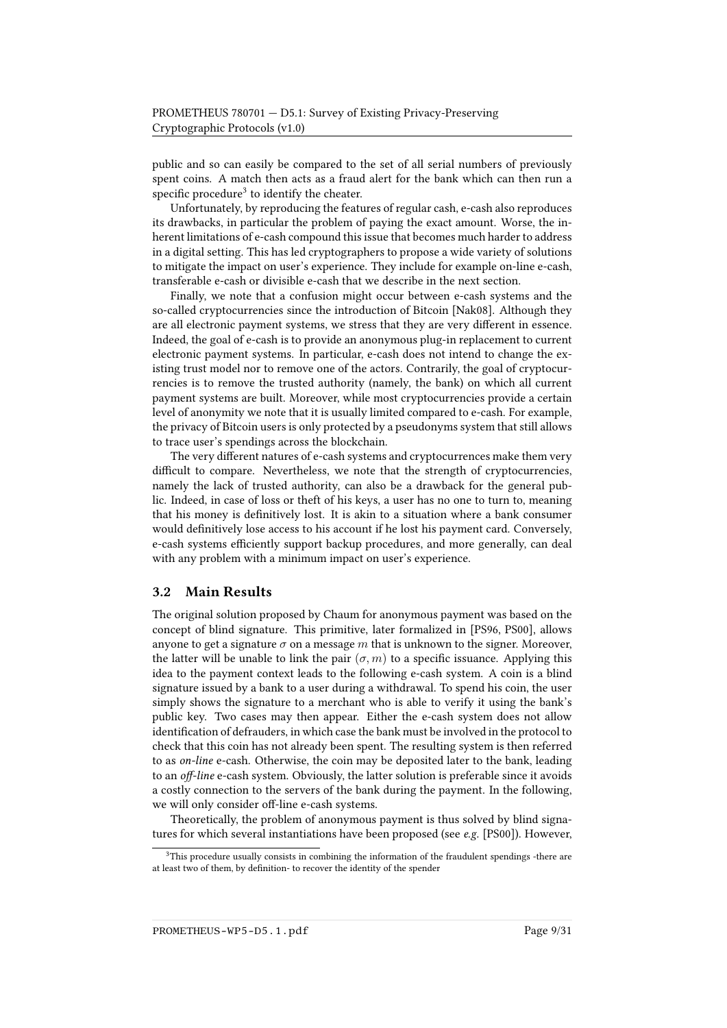public and so can easily be compared to the set of all serial numbers of previously spent coins. A match then acts as a fraud alert for the bank which can then run a specific procedure<sup>[3](#page-8-0)</sup> to identify the cheater.

Unfortunately, by reproducing the features of regular cash, e-cash also reproduces its drawbacks, in particular the problem of paying the exact amount. Worse, the inherent limitations of e-cash compound this issue that becomes much harder to address in a digital setting. This has led cryptographers to propose a wide variety of solutions to mitigate the impact on user's experience. They include for example on-line e-cash, transferable e-cash or divisible e-cash that we describe in the next section.

Finally, we note that a confusion might occur between e-cash systems and the so-called cryptocurrencies since the introduction of Bitcoin [\[Nak08\]](#page-28-4). Although they are all electronic payment systems, we stress that they are very different in essence. Indeed, the goal of e-cash is to provide an anonymous plug-in replacement to current electronic payment systems. In particular, e-cash does not intend to change the existing trust model nor to remove one of the actors. Contrarily, the goal of cryptocurrencies is to remove the trusted authority (namely, the bank) on which all current payment systems are built. Moreover, while most cryptocurrencies provide a certain level of anonymity we note that it is usually limited compared to e-cash. For example, the privacy of Bitcoin users is only protected by a pseudonyms system that still allows to trace user's spendings across the blockchain.

The very different natures of e-cash systems and cryptocurrences make them very difficult to compare. Nevertheless, we note that the strength of cryptocurrencies, namely the lack of trusted authority, can also be a drawback for the general public. Indeed, in case of loss or theft of his keys, a user has no one to turn to, meaning that his money is definitively lost. It is akin to a situation where a bank consumer would definitively lose access to his account if he lost his payment card. Conversely, e-cash systems efficiently support backup procedures, and more generally, can deal with any problem with a minimum impact on user's experience.

#### 3.2 Main Results

The original solution proposed by Chaum for anonymous payment was based on the concept of blind signature. This primitive, later formalized in [\[PS96,](#page-29-1) [PS00\]](#page-29-2), allows anyone to get a signature  $\sigma$  on a message m that is unknown to the signer. Moreover, the latter will be unable to link the pair  $(\sigma, m)$  to a specific issuance. Applying this idea to the payment context leads to the following e-cash system. A coin is a blind signature issued by a bank to a user during a withdrawal. To spend his coin, the user simply shows the signature to a merchant who is able to verify it using the bank's public key. Two cases may then appear. Either the e-cash system does not allow identification of defrauders, in which case the bank must be involved in the protocol to check that this coin has not already been spent. The resulting system is then referred to as on-line e-cash. Otherwise, the coin may be deposited later to the bank, leading to an *off-line* e-cash system. Obviously, the latter solution is preferable since it avoids a costly connection to the servers of the bank during the payment. In the following, we will only consider off-line e-cash systems.

Theoretically, the problem of anonymous payment is thus solved by blind signatures for which several instantiations have been proposed (see e.g. [\[PS00\]](#page-29-2)). However,

PROMETHEUS-WP5-D5.1.pdf Page 9/31

<span id="page-8-0"></span><sup>&</sup>lt;sup>3</sup>This procedure usually consists in combining the information of the fraudulent spendings -there are at least two of them, by definition- to recover the identity of the spender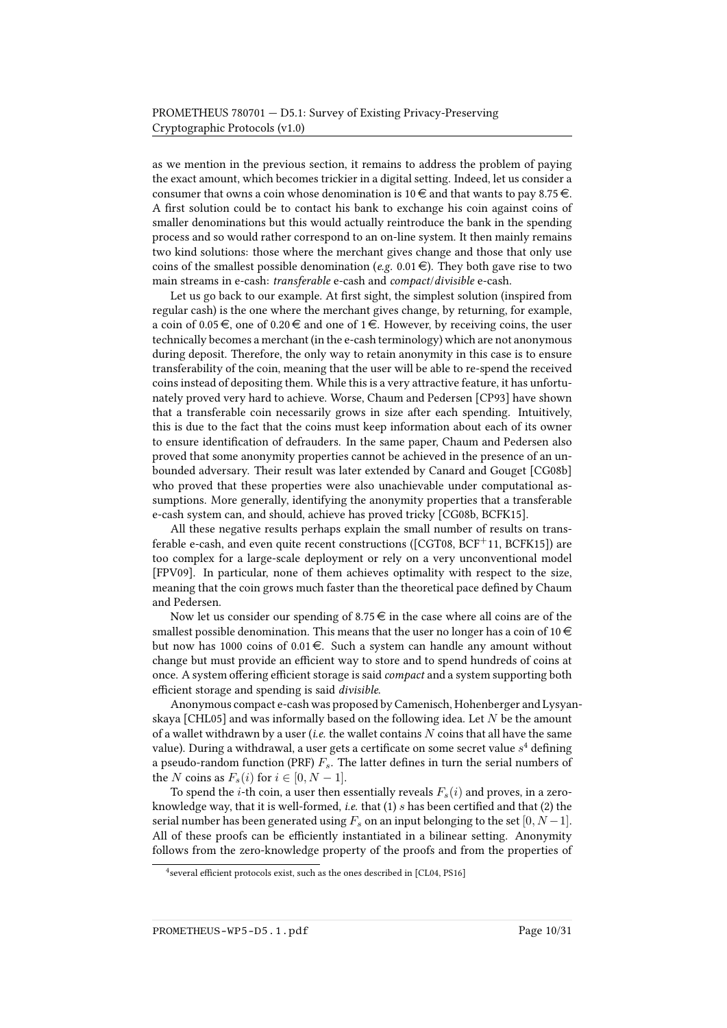as we mention in the previous section, it remains to address the problem of paying the exact amount, which becomes trickier in a digital setting. Indeed, let us consider a consumer that owns a coin whose denomination is 10  $\in$  and that wants to pay 8.75  $\in$ . A first solution could be to contact his bank to exchange his coin against coins of smaller denominations but this would actually reintroduce the bank in the spending process and so would rather correspond to an on-line system. It then mainly remains two kind solutions: those where the merchant gives change and those that only use coins of the smallest possible denomination (e.g. 0.01  $\in$ ). They both gave rise to two main streams in e-cash: transferable e-cash and compact/divisible e-cash.

Let us go back to our example. At first sight, the simplest solution (inspired from regular cash) is the one where the merchant gives change, by returning, for example, a coin of 0.05  $\epsilon$ , one of 0.20  $\epsilon$  and one of 1  $\epsilon$ . However, by receiving coins, the user technically becomes a merchant (in the e-cash terminology) which are not anonymous during deposit. Therefore, the only way to retain anonymity in this case is to ensure transferability of the coin, meaning that the user will be able to re-spend the received coins instead of depositing them. While this is a very attractive feature, it has unfortunately proved very hard to achieve. Worse, Chaum and Pedersen [\[CP93\]](#page-25-5) have shown that a transferable coin necessarily grows in size after each spending. Intuitively, this is due to the fact that the coins must keep information about each of its owner to ensure identification of defrauders. In the same paper, Chaum and Pedersen also proved that some anonymity properties cannot be achieved in the presence of an unbounded adversary. Their result was later extended by Canard and Gouget [\[CG08b\]](#page-23-3) who proved that these properties were also unachievable under computational assumptions. More generally, identifying the anonymity properties that a transferable e-cash system can, and should, achieve has proved tricky [\[CG08b,](#page-23-3) [BCFK15\]](#page-21-5).

All these negative results perhaps explain the small number of results on transferable e-cash, and even quite recent constructions ( $[CGT08, BCF<sup>+</sup>11, BCFK15]$  $[CGT08, BCF<sup>+</sup>11, BCFK15]$  $[CGT08, BCF<sup>+</sup>11, BCFK15]$  $[CGT08, BCF<sup>+</sup>11, BCFK15]$ ) are too complex for a large-scale deployment or rely on a very unconventional model [\[FPV09\]](#page-26-1). In particular, none of them achieves optimality with respect to the size, meaning that the coin grows much faster than the theoretical pace defined by Chaum and Pedersen.

Now let us consider our spending of 8.75  $\epsilon$  in the case where all coins are of the smallest possible denomination. This means that the user no longer has a coin of 10  $\in$ but now has 1000 coins of  $0.01 \in$ . Such a system can handle any amount without change but must provide an efficient way to store and to spend hundreds of coins at once. A system offering efficient storage is said *compact* and a system supporting both efficient storage and spending is said *divisible*.

Anonymous compact e-cash was proposed by Camenisch, Hohenberger and Lysyan-skaya [\[CHL05\]](#page-24-9) and was informally based on the following idea. Let  $N$  be the amount of a wallet withdrawn by a user (i.e. the wallet contains  $N$  coins that all have the same value). During a withdrawal, a user gets a certificate on some secret value  $s^4$  $s^4$  defining a pseudo-random function (PRF)  $F_s$ . The latter defines in turn the serial numbers of the N coins as  $F_s(i)$  for  $i \in [0, N-1]$ .

To spend the *i*-th coin, a user then essentially reveals  $F_s(i)$  and proves, in a zeroknowledge way, that it is well-formed, *i.e.* that  $(1)$  s has been certified and that  $(2)$  the serial number has been generated using  $F_s$  on an input belonging to the set  $[0, N-1]$ . All of these proofs can be efficiently instantiated in a bilinear setting. Anonymity follows from the zero-knowledge property of the proofs and from the properties of

<span id="page-9-0"></span><sup>&</sup>lt;sup>4</sup> several efficient protocols exist, such as the ones described in [\[CL04,](#page-24-3) [PS16\]](#page-29-3)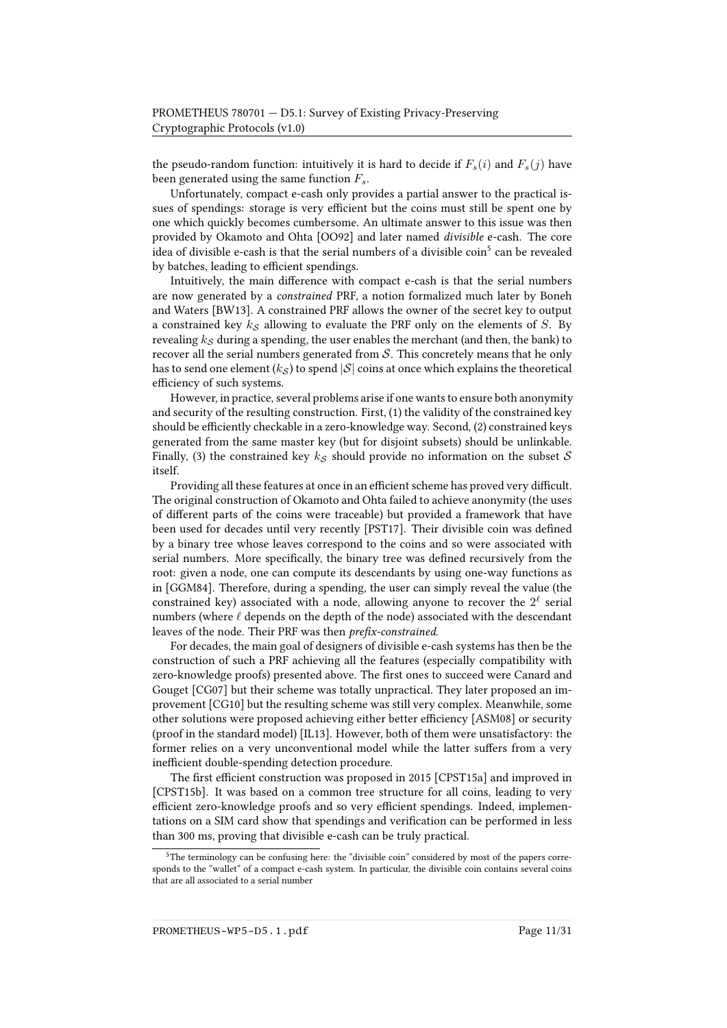the pseudo-random function: intuitively it is hard to decide if  $F_s(i)$  and  $F_s(j)$  have been generated using the same function  $F_s.$ 

Unfortunately, compact e-cash only provides a partial answer to the practical issues of spendings: storage is very efficient but the coins must still be spent one by one which quickly becomes cumbersome. An ultimate answer to this issue was then provided by Okamoto and Ohta [\[OO92\]](#page-29-4) and later named divisible e-cash. The core idea of divisible e-cash is that the serial numbers of a divisible  $\operatorname{coin}^5$  $\operatorname{coin}^5$  can be revealed by batches, leading to efficient spendings.

Intuitively, the main difference with compact e-cash is that the serial numbers are now generated by a constrained PRF, a notion formalized much later by Boneh and Waters [\[BW13\]](#page-23-4). A constrained PRF allows the owner of the secret key to output a constrained key  $k<sub>S</sub>$  allowing to evaluate the PRF only on the elements of S. By revealing  $k<sub>S</sub>$  during a spending, the user enables the merchant (and then, the bank) to recover all the serial numbers generated from  $S$ . This concretely means that he only has to send one element  $(k<sub>S</sub>)$  to spend  $|S|$  coins at once which explains the theoretical efficiency of such systems.

However, in practice, several problems arise if one wants to ensure both anonymity and security of the resulting construction. First, (1) the validity of the constrained key should be efficiently checkable in a zero-knowledge way. Second, (2) constrained keys generated from the same master key (but for disjoint subsets) should be unlinkable. Finally, (3) the constrained key  $k<sub>S</sub>$  should provide no information on the subset S itself.

Providing all these features at once in an efficient scheme has proved very difficult. The original construction of Okamoto and Ohta failed to achieve anonymity (the uses of different parts of the coins were traceable) but provided a framework that have been used for decades until very recently [\[PST17\]](#page-29-5). Their divisible coin was defined by a binary tree whose leaves correspond to the coins and so were associated with serial numbers. More specifically, the binary tree was defined recursively from the root: given a node, one can compute its descendants by using one-way functions as in [\[GGM84\]](#page-26-2). Therefore, during a spending, the user can simply reveal the value (the constrained key) associated with a node, allowing anyone to recover the  $2^\ell$  serial numbers (where  $\ell$  depends on the depth of the node) associated with the descendant leaves of the node. Their PRF was then prefix-constrained.

For decades, the main goal of designers of divisible e-cash systems has then be the construction of such a PRF achieving all the features (especially compatibility with zero-knowledge proofs) presented above. The first ones to succeed were Canard and Gouget [\[CG07\]](#page-23-5) but their scheme was totally unpractical. They later proposed an improvement [\[CG10\]](#page-23-6) but the resulting scheme was still very complex. Meanwhile, some other solutions were proposed achieving either better efficiency [\[ASM08\]](#page-20-5) or security (proof in the standard model) [\[IL13\]](#page-27-5). However, both of them were unsatisfactory: the former relies on a very unconventional model while the latter suffers from a very inefficient double-spending detection procedure.

The first efficient construction was proposed in 2015 [\[CPST15a\]](#page-25-6) and improved in [\[CPST15b\]](#page-25-7). It was based on a common tree structure for all coins, leading to very efficient zero-knowledge proofs and so very efficient spendings. Indeed, implementations on a SIM card show that spendings and verification can be performed in less than 300 ms, proving that divisible e-cash can be truly practical.

<span id="page-10-0"></span> $5$ The terminology can be confusing here: the "divisible coin" considered by most of the papers corresponds to the "wallet" of a compact e-cash system. In particular, the divisible coin contains several coins that are all associated to a serial number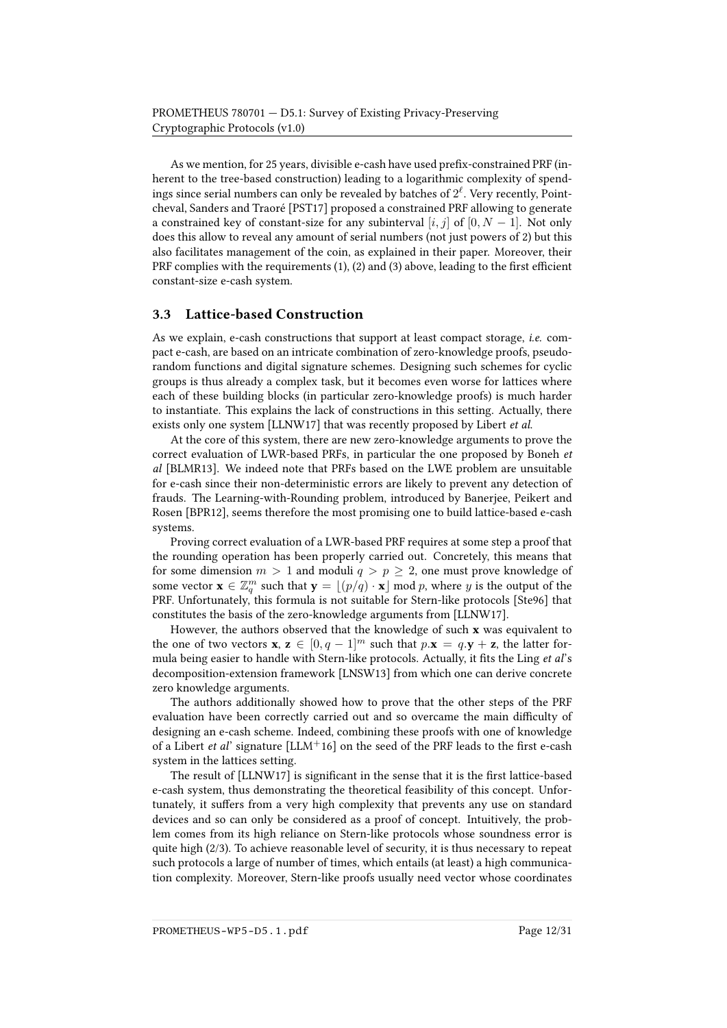As we mention, for 25 years, divisible e-cash have used prefix-constrained PRF (inherent to the tree-based construction) leading to a logarithmic complexity of spendings since serial numbers can only be revealed by batches of  $2^{\ell}$ . Very recently, Pointcheval, Sanders and Traoré [\[PST17\]](#page-29-5) proposed a constrained PRF allowing to generate a constrained key of constant-size for any subinterval [i, j] of [0,  $N-1$ ]. Not only does this allow to reveal any amount of serial numbers (not just powers of 2) but this also facilitates management of the coin, as explained in their paper. Moreover, their PRF complies with the requirements  $(1)$ ,  $(2)$  and  $(3)$  above, leading to the first efficient constant-size e-cash system.

### 3.3 Lattice-based Construction

As we explain, e-cash constructions that support at least compact storage, i.e. compact e-cash, are based on an intricate combination of zero-knowledge proofs, pseudorandom functions and digital signature schemes. Designing such schemes for cyclic groups is thus already a complex task, but it becomes even worse for lattices where each of these building blocks (in particular zero-knowledge proofs) is much harder to instantiate. This explains the lack of constructions in this setting. Actually, there exists only one system [\[LLNW17\]](#page-28-5) that was recently proposed by Libert et al.

At the core of this system, there are new zero-knowledge arguments to prove the correct evaluation of LWR-based PRFs, in particular the one proposed by Boneh et al [\[BLMR13\]](#page-22-4). We indeed note that PRFs based on the LWE problem are unsuitable for e-cash since their non-deterministic errors are likely to prevent any detection of frauds. The Learning-with-Rounding problem, introduced by Banerjee, Peikert and Rosen [\[BPR12\]](#page-22-5), seems therefore the most promising one to build lattice-based e-cash systems.

Proving correct evaluation of a LWR-based PRF requires at some step a proof that the rounding operation has been properly carried out. Concretely, this means that for some dimension  $m > 1$  and moduli  $q > p \geq 2$ , one must prove knowledge of some vector  $\mathbf{x} \in \mathbb{Z}_q^m$  such that  $\mathbf{y} = \lfloor (p/q) \cdot \mathbf{x} \rfloor \bmod p$ , where y is the output of the PRF. Unfortunately, this formula is not suitable for Stern-like protocols [\[Ste96\]](#page-30-1) that constitutes the basis of the zero-knowledge arguments from [\[LLNW17\]](#page-28-5).

However, the authors observed that the knowledge of such x was equivalent to the one of two vectors **x**,  $z \in [0, q - 1]^m$  such that  $p.x = q.y + z$ , the latter formula being easier to handle with Stern-like protocols. Actually, it fits the Ling et al's decomposition-extension framework [\[LNSW13\]](#page-28-6) from which one can derive concrete zero knowledge arguments.

The authors additionally showed how to prove that the other steps of the PRF evaluation have been correctly carried out and so overcame the main difficulty of designing an e-cash scheme. Indeed, combining these proofs with one of knowledge of a Libert *et al*' signature  $[LLM+16]$  $[LLM+16]$  on the seed of the PRF leads to the first e-cash system in the lattices setting.

The result of  $[LLNW17]$  is significant in the sense that it is the first lattice-based e-cash system, thus demonstrating the theoretical feasibility of this concept. Unfortunately, it suffers from a very high complexity that prevents any use on standard devices and so can only be considered as a proof of concept. Intuitively, the problem comes from its high reliance on Stern-like protocols whose soundness error is quite high (2/3). To achieve reasonable level of security, it is thus necessary to repeat such protocols a large of number of times, which entails (at least) a high communication complexity. Moreover, Stern-like proofs usually need vector whose coordinates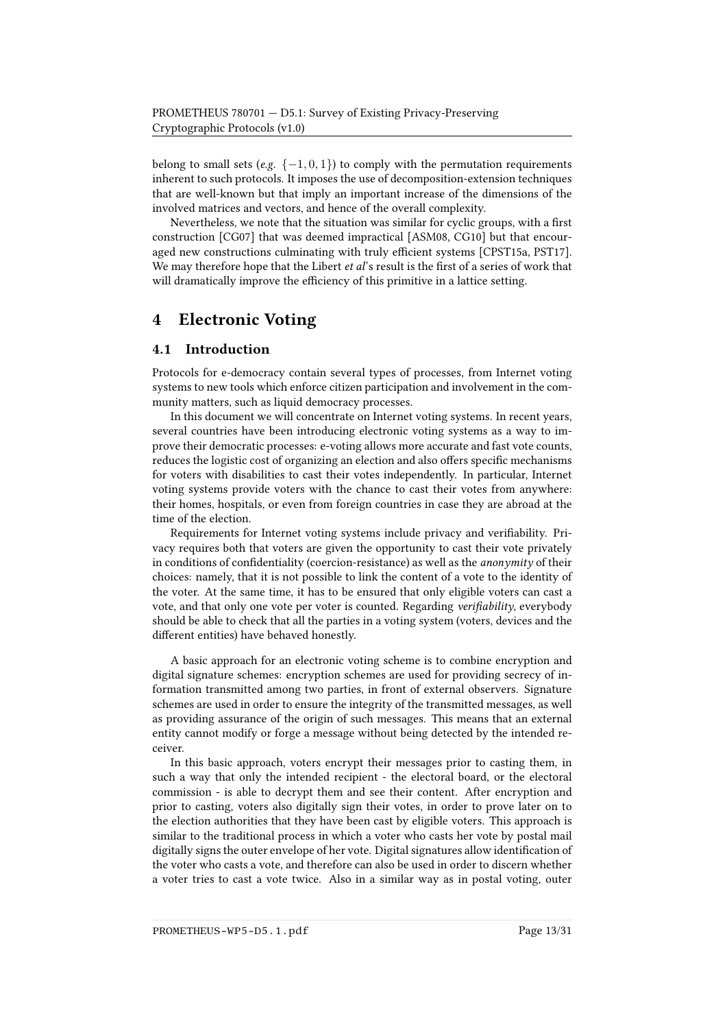belong to small sets (e.g.  $\{-1, 0, 1\}$ ) to comply with the permutation requirements inherent to such protocols. It imposes the use of decomposition-extension techniques that are well-known but that imply an important increase of the dimensions of the involved matrices and vectors, and hence of the overall complexity.

Nevertheless, we note that the situation was similar for cyclic groups, with a first construction [\[CG07\]](#page-23-5) that was deemed impractical [\[ASM08,](#page-20-5) [CG10\]](#page-23-6) but that encour-aged new constructions culminating with truly efficient systems [\[CPST15a,](#page-25-6) [PST17\]](#page-29-5). We may therefore hope that the Libert  $et al$ 's result is the first of a series of work that will dramatically improve the efficiency of this primitive in a lattice setting.

## <span id="page-12-0"></span>4 Electronic Voting

### 4.1 Introduction

Protocols for e-democracy contain several types of processes, from Internet voting systems to new tools which enforce citizen participation and involvement in the community matters, such as liquid democracy processes.

In this document we will concentrate on Internet voting systems. In recent years, several countries have been introducing electronic voting systems as a way to improve their democratic processes: e-voting allows more accurate and fast vote counts, reduces the logistic cost of organizing an election and also offers specific mechanisms for voters with disabilities to cast their votes independently. In particular, Internet voting systems provide voters with the chance to cast their votes from anywhere: their homes, hospitals, or even from foreign countries in case they are abroad at the time of the election.

Requirements for Internet voting systems include privacy and veriability. Privacy requires both that voters are given the opportunity to cast their vote privately in conditions of confidentiality (coercion-resistance) as well as the anonymity of their choices: namely, that it is not possible to link the content of a vote to the identity of the voter. At the same time, it has to be ensured that only eligible voters can cast a vote, and that only one vote per voter is counted. Regarding verifiability, everybody should be able to check that all the parties in a voting system (voters, devices and the different entities) have behaved honestly.

A basic approach for an electronic voting scheme is to combine encryption and digital signature schemes: encryption schemes are used for providing secrecy of information transmitted among two parties, in front of external observers. Signature schemes are used in order to ensure the integrity of the transmitted messages, as well as providing assurance of the origin of such messages. This means that an external entity cannot modify or forge a message without being detected by the intended receiver.

In this basic approach, voters encrypt their messages prior to casting them, in such a way that only the intended recipient - the electoral board, or the electoral commission - is able to decrypt them and see their content. After encryption and prior to casting, voters also digitally sign their votes, in order to prove later on to the election authorities that they have been cast by eligible voters. This approach is similar to the traditional process in which a voter who casts her vote by postal mail digitally signs the outer envelope of her vote. Digital signatures allow identification of the voter who casts a vote, and therefore can also be used in order to discern whether a voter tries to cast a vote twice. Also in a similar way as in postal voting, outer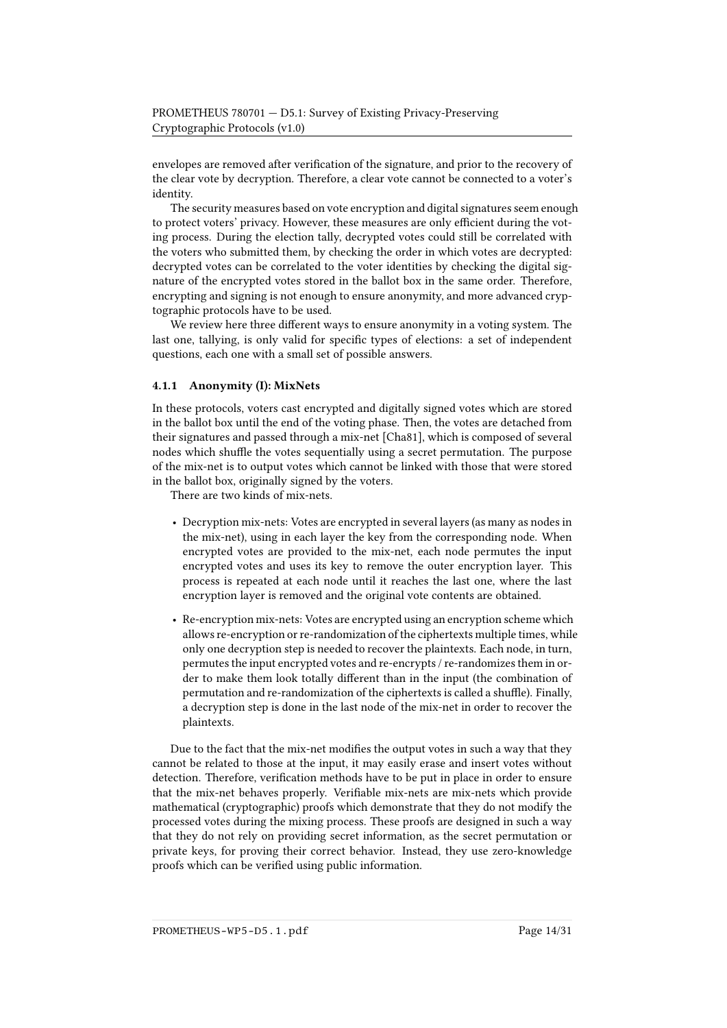envelopes are removed after verification of the signature, and prior to the recovery of the clear vote by decryption. Therefore, a clear vote cannot be connected to a voter's identity.

The security measures based on vote encryption and digital signatures seem enough to protect voters' privacy. However, these measures are only efficient during the voting process. During the election tally, decrypted votes could still be correlated with the voters who submitted them, by checking the order in which votes are decrypted: decrypted votes can be correlated to the voter identities by checking the digital signature of the encrypted votes stored in the ballot box in the same order. Therefore, encrypting and signing is not enough to ensure anonymity, and more advanced cryptographic protocols have to be used.

We review here three different ways to ensure anonymity in a voting system. The last one, tallying, is only valid for specific types of elections: a set of independent questions, each one with a small set of possible answers.

#### 4.1.1 Anonymity (I): MixNets

In these protocols, voters cast encrypted and digitally signed votes which are stored in the ballot box until the end of the voting phase. Then, the votes are detached from their signatures and passed through a mix-net [\[Cha81\]](#page-24-10), which is composed of several nodes which shuffle the votes sequentially using a secret permutation. The purpose of the mix-net is to output votes which cannot be linked with those that were stored in the ballot box, originally signed by the voters.

There are two kinds of mix-nets.

- Decryption mix-nets: Votes are encrypted in several layers (as many as nodes in the mix-net), using in each layer the key from the corresponding node. When encrypted votes are provided to the mix-net, each node permutes the input encrypted votes and uses its key to remove the outer encryption layer. This process is repeated at each node until it reaches the last one, where the last encryption layer is removed and the original vote contents are obtained.
- Re-encryption mix-nets: Votes are encrypted using an encryption scheme which allows re-encryption or re-randomization of the ciphertexts multiple times, while only one decryption step is needed to recover the plaintexts. Each node, in turn, permutes the input encrypted votes and re-encrypts / re-randomizes them in order to make them look totally different than in the input (the combination of permutation and re-randomization of the ciphertexts is called a shuffle). Finally, a decryption step is done in the last node of the mix-net in order to recover the plaintexts.

Due to the fact that the mix-net modifies the output votes in such a way that they cannot be related to those at the input, it may easily erase and insert votes without detection. Therefore, verification methods have to be put in place in order to ensure that the mix-net behaves properly. Verifiable mix-nets are mix-nets which provide mathematical (cryptographic) proofs which demonstrate that they do not modify the processed votes during the mixing process. These proofs are designed in such a way that they do not rely on providing secret information, as the secret permutation or private keys, for proving their correct behavior. Instead, they use zero-knowledge proofs which can be verified using public information.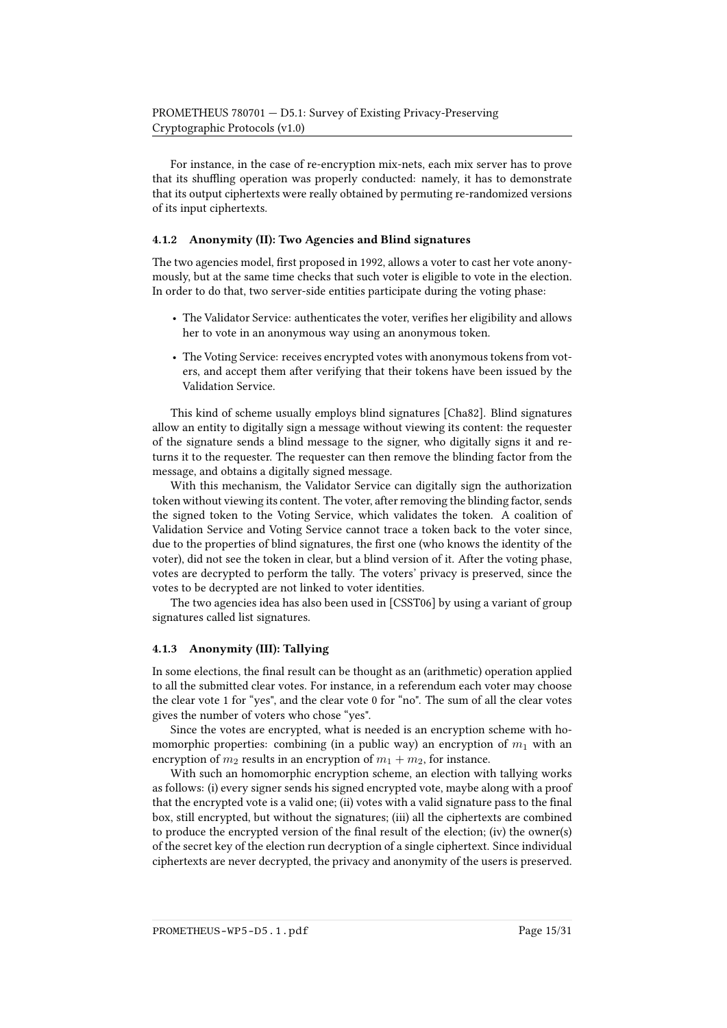For instance, in the case of re-encryption mix-nets, each mix server has to prove that its shuffling operation was properly conducted: namely, it has to demonstrate that its output ciphertexts were really obtained by permuting re-randomized versions of its input ciphertexts.

#### 4.1.2 Anonymity (II): Two Agencies and Blind signatures

The two agencies model, first proposed in 1992, allows a voter to cast her vote anonymously, but at the same time checks that such voter is eligible to vote in the election. In order to do that, two server-side entities participate during the voting phase:

- The Validator Service: authenticates the voter, verifies her eligibility and allows her to vote in an anonymous way using an anonymous token.
- The Voting Service: receives encrypted votes with anonymous tokens from voters, and accept them after verifying that their tokens have been issued by the Validation Service.

This kind of scheme usually employs blind signatures [\[Cha82\]](#page-24-7). Blind signatures allow an entity to digitally sign a message without viewing its content: the requester of the signature sends a blind message to the signer, who digitally signs it and returns it to the requester. The requester can then remove the blinding factor from the message, and obtains a digitally signed message.

With this mechanism, the Validator Service can digitally sign the authorization token without viewing its content. The voter, after removing the blinding factor, sends the signed token to the Voting Service, which validates the token. A coalition of Validation Service and Voting Service cannot trace a token back to the voter since, due to the properties of blind signatures, the first one (who knows the identity of the voter), did not see the token in clear, but a blind version of it. After the voting phase, votes are decrypted to perform the tally. The voters' privacy is preserved, since the votes to be decrypted are not linked to voter identities.

The two agencies idea has also been used in [\[CSST06\]](#page-25-8) by using a variant of group signatures called list signatures.

### 4.1.3 Anonymity (III): Tallying

In some elections, the final result can be thought as an (arithmetic) operation applied to all the submitted clear votes. For instance, in a referendum each voter may choose the clear vote 1 for "yes", and the clear vote 0 for "no". The sum of all the clear votes gives the number of voters who chose "yes".

Since the votes are encrypted, what is needed is an encryption scheme with homomorphic properties: combining (in a public way) an encryption of  $m_1$  with an encryption of  $m_2$  results in an encryption of  $m_1 + m_2$ , for instance.

With such an homomorphic encryption scheme, an election with tallying works as follows: (i) every signer sends his signed encrypted vote, maybe along with a proof that the encrypted vote is a valid one; (ii) votes with a valid signature pass to the final box, still encrypted, but without the signatures; (iii) all the ciphertexts are combined to produce the encrypted version of the final result of the election; (iv) the owner(s) of the secret key of the election run decryption of a single ciphertext. Since individual ciphertexts are never decrypted, the privacy and anonymity of the users is preserved.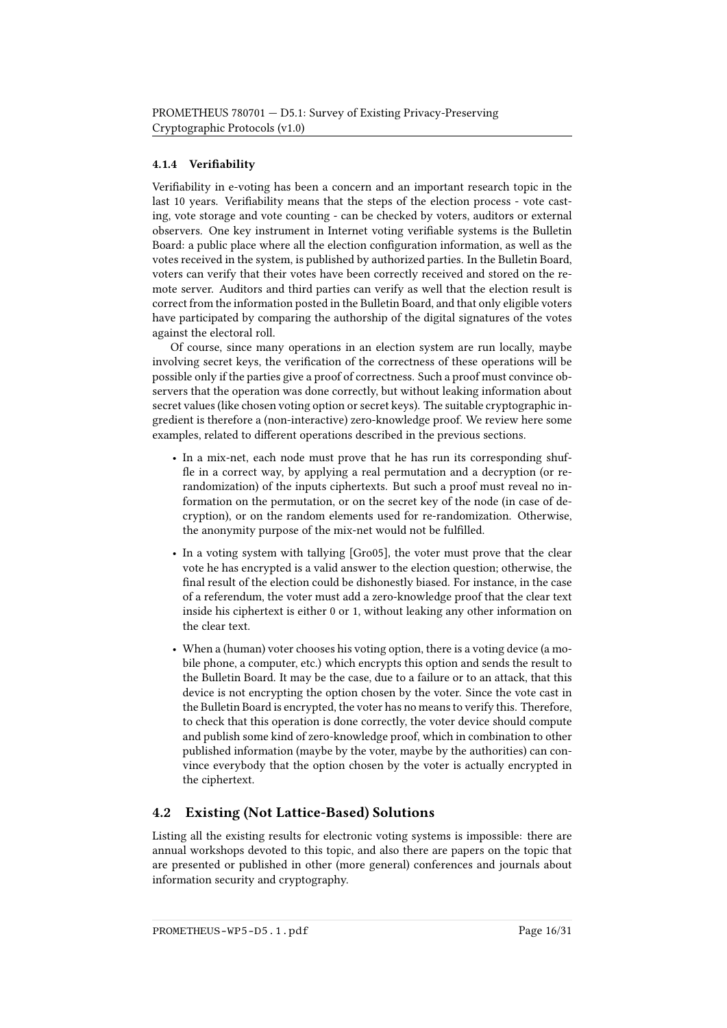### 4.1.4 Verifiability

Verifiability in e-voting has been a concern and an important research topic in the last 10 years. Verifiability means that the steps of the election process - vote casting, vote storage and vote counting - can be checked by voters, auditors or external observers. One key instrument in Internet voting verifiable systems is the Bulletin Board: a public place where all the election configuration information, as well as the votes received in the system, is published by authorized parties. In the Bulletin Board, voters can verify that their votes have been correctly received and stored on the remote server. Auditors and third parties can verify as well that the election result is correct from the information posted in the Bulletin Board, and that only eligible voters have participated by comparing the authorship of the digital signatures of the votes against the electoral roll.

Of course, since many operations in an election system are run locally, maybe involving secret keys, the verification of the correctness of these operations will be possible only if the parties give a proof of correctness. Such a proof must convince observers that the operation was done correctly, but without leaking information about secret values (like chosen voting option or secret keys). The suitable cryptographic ingredient is therefore a (non-interactive) zero-knowledge proof. We review here some examples, related to different operations described in the previous sections.

- In a mix-net, each node must prove that he has run its corresponding shuf fle in a correct way, by applying a real permutation and a decryption (or rerandomization) of the inputs ciphertexts. But such a proof must reveal no information on the permutation, or on the secret key of the node (in case of decryption), or on the random elements used for re-randomization. Otherwise, the anonymity purpose of the mix-net would not be fullled.
- In a voting system with tallying [Gro05], the voter must prove that the clear vote he has encrypted is a valid answer to the election question; otherwise, the final result of the election could be dishonestly biased. For instance, in the case of a referendum, the voter must add a zero-knowledge proof that the clear text inside his ciphertext is either 0 or 1, without leaking any other information on the clear text.
- When a (human) voter chooses his voting option, there is a voting device (a mobile phone, a computer, etc.) which encrypts this option and sends the result to the Bulletin Board. It may be the case, due to a failure or to an attack, that this device is not encrypting the option chosen by the voter. Since the vote cast in the Bulletin Board is encrypted, the voter has no means to verify this. Therefore, to check that this operation is done correctly, the voter device should compute and publish some kind of zero-knowledge proof, which in combination to other published information (maybe by the voter, maybe by the authorities) can convince everybody that the option chosen by the voter is actually encrypted in the ciphertext.

## 4.2 Existing (Not Lattice-Based) Solutions

Listing all the existing results for electronic voting systems is impossible: there are annual workshops devoted to this topic, and also there are papers on the topic that are presented or published in other (more general) conferences and journals about information security and cryptography.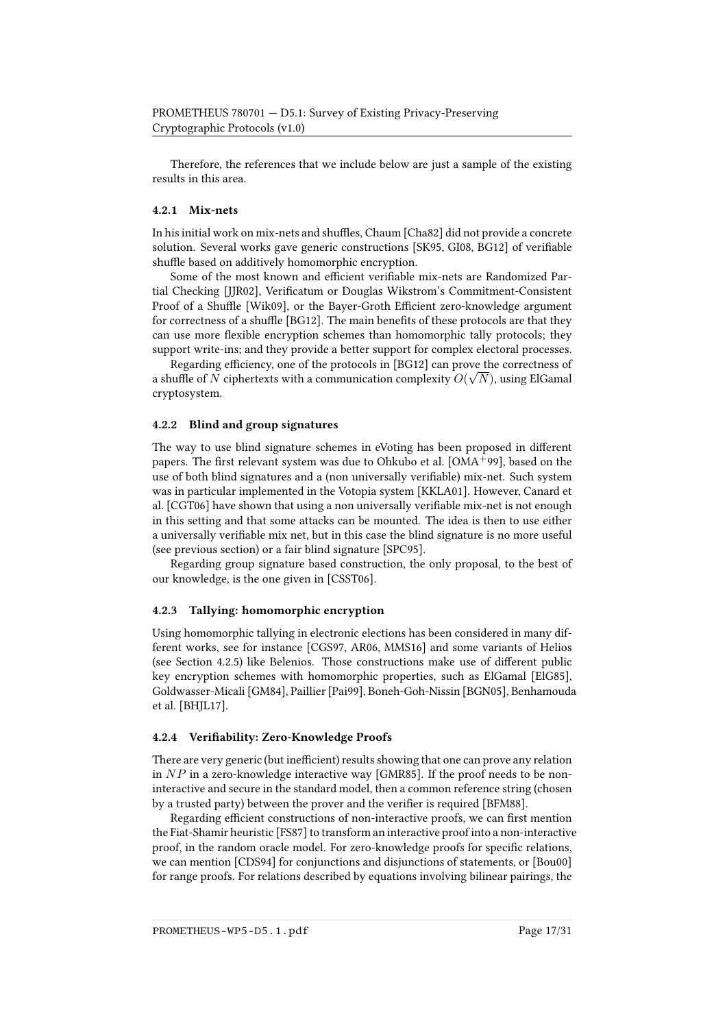Therefore, the references that we include below are just a sample of the existing results in this area.

#### 4.2.1 Mix-nets

In his initial work on mix-nets and shuffles, Chaum [\[Cha82\]](#page-24-7) did not provide a concrete solution. Several works gave generic constructions [\[SK95,](#page-29-6) [GI08,](#page-26-3) [BG12\]](#page-22-6) of veriable shuffle based on additively homomorphic encryption.

Some of the most known and efficient verifiable mix-nets are Randomized Par-tial Checking [\[JJR02\]](#page-27-6), Verificatum or Douglas Wikstrom's Commitment-Consistent Proof of a Shuffle [\[Wik09\]](#page-30-2), or the Bayer-Groth Efficient zero-knowledge argument for correctness of a shuffle [\[BG12\]](#page-22-6). The main benefits of these protocols are that they can use more flexible encryption schemes than homomorphic tally protocols; they support write-ins; and they provide a better support for complex electoral processes.

Regarding efficiency, one of the protocols in [\[BG12\]](#page-22-6) can prove the correctness of a shuffle of  $N$  ciphertexts with a communication complexity  $O(\sqrt{N})$ , using ElGamal cryptosystem.

#### 4.2.2 Blind and group signatures

The way to use blind signature schemes in eVoting has been proposed in different papers. The first relevant system was due to Ohkubo et al. [\[OMA](#page-29-7)+99], based on the use of both blind signatures and a (non universally verifiable) mix-net. Such system was in particular implemented in the Votopia system [\[KKLA01\]](#page-27-7). However, Canard et al. [\[CGT06\]](#page-24-11) have shown that using a non universally verifiable mix-net is not enough in this setting and that some attacks can be mounted. The idea is then to use either a universally verifiable mix net, but in this case the blind signature is no more useful (see previous section) or a fair blind signature [\[SPC95\]](#page-29-8).

Regarding group signature based construction, the only proposal, to the best of our knowledge, is the one given in [\[CSST06\]](#page-25-8).

#### 4.2.3 Tallying: homomorphic encryption

Using homomorphic tallying in electronic elections has been considered in many different works, see for instance [\[CGS97,](#page-23-7) [AR06,](#page-20-6) [MMS16\]](#page-28-7) and some variants of Helios (see Section [4.2.5\)](#page-17-0) like Belenios. Those constructions make use of different public key encryption schemes with homomorphic properties, such as ElGamal [\[ElG85\]](#page-26-4), Goldwasser-Micali [\[GM84\]](#page-26-5), Paillier [\[Pai99\]](#page-29-9), Boneh-Goh-Nissin [\[BGN05\]](#page-22-7), Benhamouda et al. [\[BHJL17\]](#page-22-8).

#### 4.2.4 Verifiability: Zero-Knowledge Proofs

There are very generic (but inefficient) results showing that one can prove any relation in  $NP$  in a zero-knowledge interactive way [\[GMR85\]](#page-26-6). If the proof needs to be noninteractive and secure in the standard model, then a common reference string (chosen by a trusted party) between the prover and the verifier is required [\[BFM88\]](#page-21-7).

Regarding efficient constructions of non-interactive proofs, we can first mention the Fiat-Shamir heuristic [\[FS87\]](#page-26-7) to transform an interactive proof into a non-interactive proof, in the random oracle model. For zero-knowledge proofs for specific relations, we can mention [\[CDS94\]](#page-23-8) for conjunctions and disjunctions of statements, or [\[Bou00\]](#page-22-9) for range proofs. For relations described by equations involving bilinear pairings, the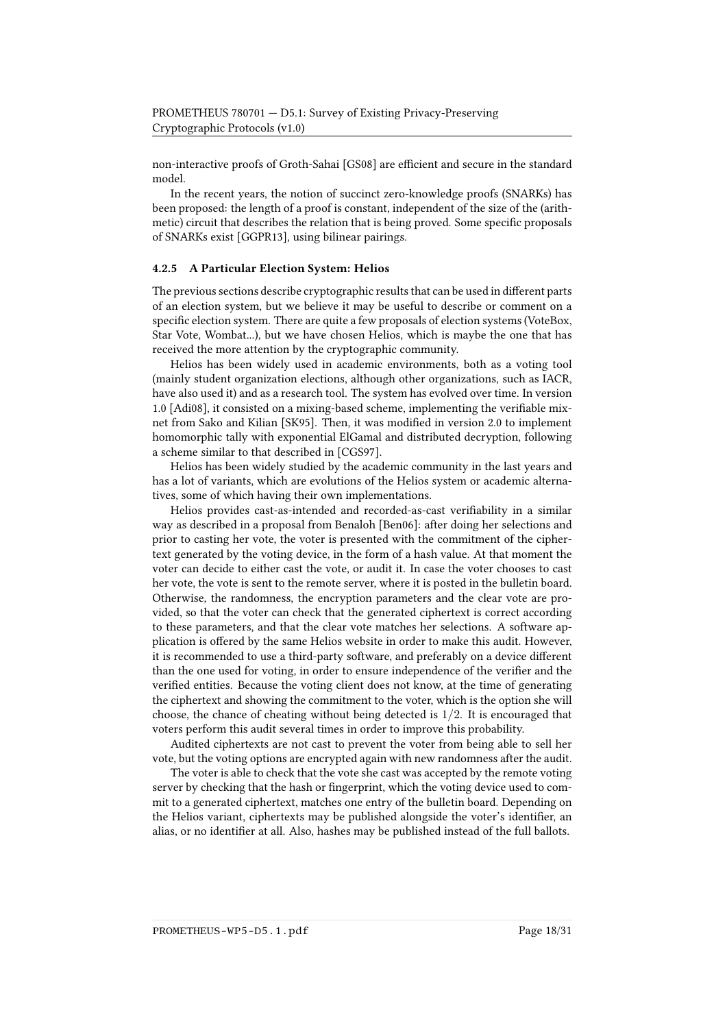non-interactive proofs of Groth-Sahai [\[GS08\]](#page-27-8) are efficient and secure in the standard model.

In the recent years, the notion of succinct zero-knowledge proofs (SNARKs) has been proposed: the length of a proof is constant, independent of the size of the (arithmetic) circuit that describes the relation that is being proved. Some specific proposals of SNARKs exist [\[GGPR13\]](#page-26-8), using bilinear pairings.

#### <span id="page-17-0"></span>4.2.5 A Particular Election System: Helios

The previous sections describe cryptographic results that can be used in different parts of an election system, but we believe it may be useful to describe or comment on a specific election system. There are quite a few proposals of election systems (VoteBox, Star Vote, Wombat...), but we have chosen Helios, which is maybe the one that has received the more attention by the cryptographic community.

Helios has been widely used in academic environments, both as a voting tool (mainly student organization elections, although other organizations, such as IACR, have also used it) and as a research tool. The system has evolved over time. In version 1.0 [\[Adi08\]](#page-20-7), it consisted on a mixing-based scheme, implementing the verifiable mix-net from Sako and Kilian [\[SK95\]](#page-29-6). Then, it was modified in version 2.0 to implement homomorphic tally with exponential ElGamal and distributed decryption, following a scheme similar to that described in [\[CGS97\]](#page-23-7).

Helios has been widely studied by the academic community in the last years and has a lot of variants, which are evolutions of the Helios system or academic alternatives, some of which having their own implementations.

Helios provides cast-as-intended and recorded-as-cast verifiability in a similar way as described in a proposal from Benaloh [\[Ben06\]](#page-21-8): after doing her selections and prior to casting her vote, the voter is presented with the commitment of the ciphertext generated by the voting device, in the form of a hash value. At that moment the voter can decide to either cast the vote, or audit it. In case the voter chooses to cast her vote, the vote is sent to the remote server, where it is posted in the bulletin board. Otherwise, the randomness, the encryption parameters and the clear vote are provided, so that the voter can check that the generated ciphertext is correct according to these parameters, and that the clear vote matches her selections. A software application is offered by the same Helios website in order to make this audit. However, it is recommended to use a third-party software, and preferably on a device different than the one used for voting, in order to ensure independence of the verifier and the verified entities. Because the voting client does not know, at the time of generating the ciphertext and showing the commitment to the voter, which is the option she will choose, the chance of cheating without being detected is  $1/2$ . It is encouraged that voters perform this audit several times in order to improve this probability.

Audited ciphertexts are not cast to prevent the voter from being able to sell her vote, but the voting options are encrypted again with new randomness after the audit.

The voter is able to check that the vote she cast was accepted by the remote voting server by checking that the hash or fingerprint, which the voting device used to commit to a generated ciphertext, matches one entry of the bulletin board. Depending on the Helios variant, ciphertexts may be published alongside the voter's identifier, an alias, or no identifier at all. Also, hashes may be published instead of the full ballots.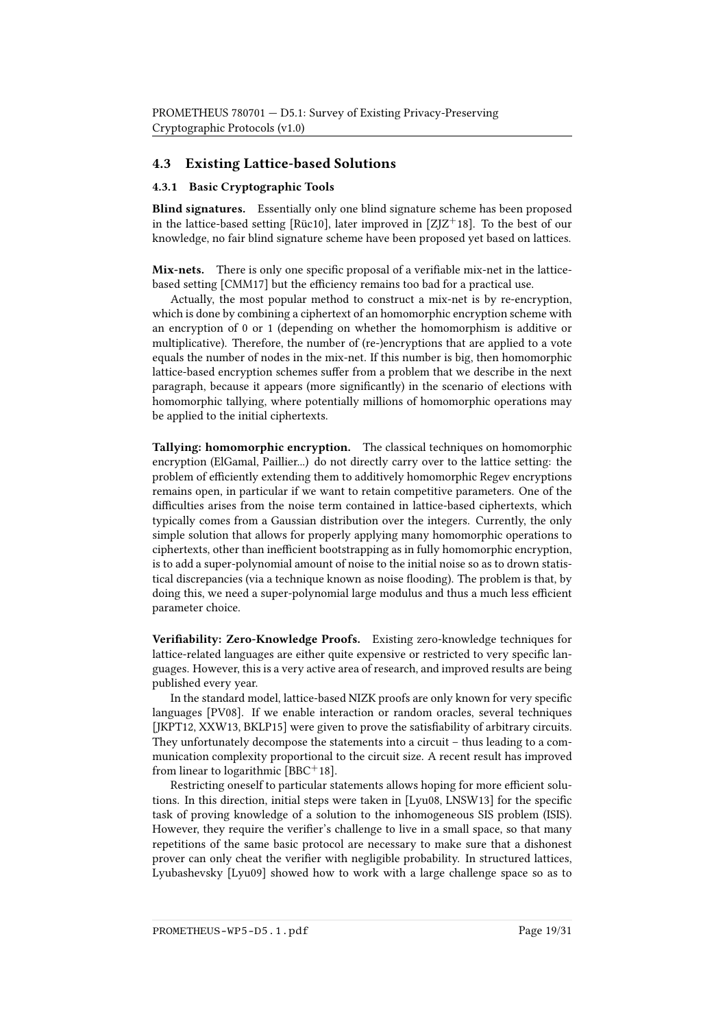## 4.3 Existing Lattice-based Solutions

#### 4.3.1 Basic Cryptographic Tools

Blind signatures. Essentially only one blind signature scheme has been proposed in the lattice-based setting [\[Rüc10\]](#page-29-10), later improved in  $[Z]Z^+18$ ]. To the best of our knowledge, no fair blind signature scheme have been proposed yet based on lattices.

**Mix-nets.** There is only one specific proposal of a verifiable mix-net in the lattice-based setting [\[CMM17\]](#page-25-9) but the efficiency remains too bad for a practical use.

Actually, the most popular method to construct a mix-net is by re-encryption, which is done by combining a ciphertext of an homomorphic encryption scheme with an encryption of 0 or 1 (depending on whether the homomorphism is additive or multiplicative). Therefore, the number of (re-)encryptions that are applied to a vote equals the number of nodes in the mix-net. If this number is big, then homomorphic lattice-based encryption schemes suffer from a problem that we describe in the next paragraph, because it appears (more signicantly) in the scenario of elections with homomorphic tallying, where potentially millions of homomorphic operations may be applied to the initial ciphertexts.

Tallying: homomorphic encryption. The classical techniques on homomorphic encryption (ElGamal, Paillier...) do not directly carry over to the lattice setting: the problem of eciently extending them to additively homomorphic Regev encryptions remains open, in particular if we want to retain competitive parameters. One of the difficulties arises from the noise term contained in lattice-based ciphertexts, which typically comes from a Gaussian distribution over the integers. Currently, the only simple solution that allows for properly applying many homomorphic operations to ciphertexts, other than inefficient bootstrapping as in fully homomorphic encryption, is to add a super-polynomial amount of noise to the initial noise so as to drown statistical discrepancies (via a technique known as noise flooding). The problem is that, by doing this, we need a super-polynomial large modulus and thus a much less efficient parameter choice.

Verifiability: Zero-Knowledge Proofs. Existing zero-knowledge techniques for lattice-related languages are either quite expensive or restricted to very specific languages. However, this is a very active area of research, and improved results are being published every year.

In the standard model, lattice-based NIZK proofs are only known for very specific languages [\[PV08\]](#page-29-11). If we enable interaction or random oracles, several techniques [\[JKPT12,](#page-27-9) [XXW13,](#page-30-4) [BKLP15\]](#page-22-10) were given to prove the satisfiability of arbitrary circuits. They unfortunately decompose the statements into a circuit – thus leading to a communication complexity proportional to the circuit size. A recent result has improved from linear to logarithmic  $[BBC<sup>+</sup>18]$  $[BBC<sup>+</sup>18]$ .

Restricting oneself to particular statements allows hoping for more efficient solu-tions. In this direction, initial steps were taken in [\[Lyu08,](#page-28-8) [LNSW13\]](#page-28-6) for the specific task of proving knowledge of a solution to the inhomogeneous SIS problem (ISIS). However, they require the verifier's challenge to live in a small space, so that many repetitions of the same basic protocol are necessary to make sure that a dishonest prover can only cheat the verifier with negligible probability. In structured lattices, Lyubashevsky [\[Lyu09\]](#page-28-3) showed how to work with a large challenge space so as to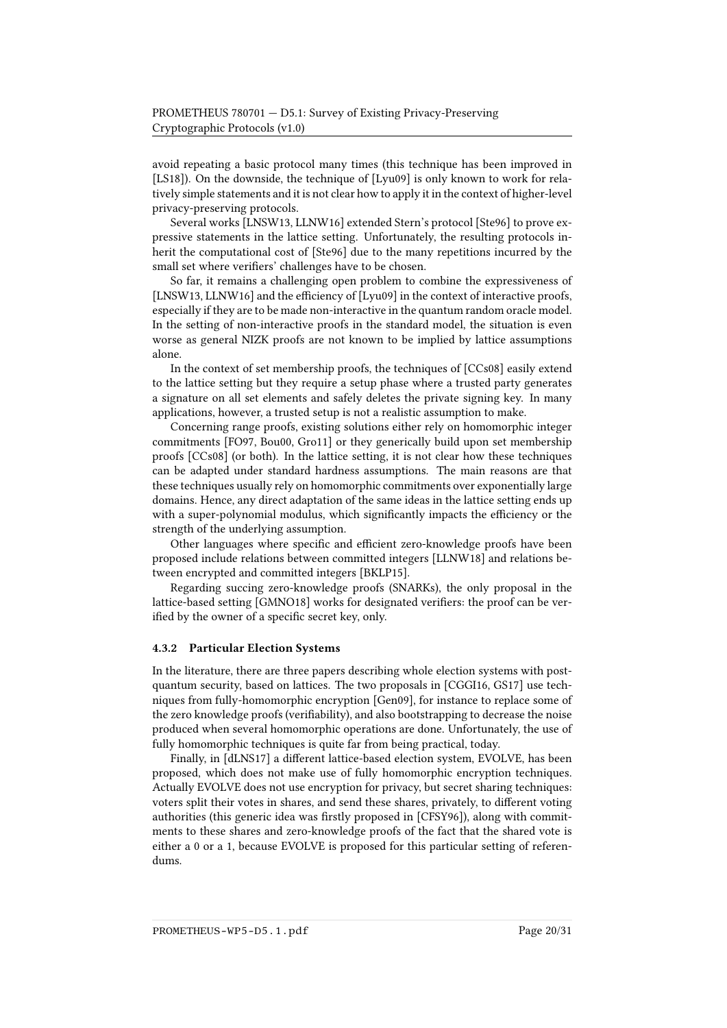avoid repeating a basic protocol many times (this technique has been improved in [\[LS18\]](#page-28-9)). On the downside, the technique of [\[Lyu09\]](#page-28-3) is only known to work for relatively simple statements and it is not clear how to apply it in the context of higher-level privacy-preserving protocols.

Several works [\[LNSW13,](#page-28-6) [LLNW16\]](#page-28-2) extended Stern's protocol [\[Ste96\]](#page-30-1) to prove expressive statements in the lattice setting. Unfortunately, the resulting protocols inherit the computational cost of [\[Ste96\]](#page-30-1) due to the many repetitions incurred by the small set where verifiers' challenges have to be chosen.

So far, it remains a challenging open problem to combine the expressiveness of [\[LNSW13,](#page-28-6) [LLNW16\]](#page-28-2) and the efficiency of [\[Lyu09\]](#page-28-3) in the context of interactive proofs, especially if they are to be made non-interactive in the quantum random oracle model. In the setting of non-interactive proofs in the standard model, the situation is even worse as general NIZK proofs are not known to be implied by lattice assumptions alone.

In the context of set membership proofs, the techniques of [\[CCs08\]](#page-23-9) easily extend to the lattice setting but they require a setup phase where a trusted party generates a signature on all set elements and safely deletes the private signing key. In many applications, however, a trusted setup is not a realistic assumption to make.

Concerning range proofs, existing solutions either rely on homomorphic integer commitments [\[FO97,](#page-26-9) [Bou00,](#page-22-9) [Gro11\]](#page-27-10) or they generically build upon set membership proofs [\[CCs08\]](#page-23-9) (or both). In the lattice setting, it is not clear how these techniques can be adapted under standard hardness assumptions. The main reasons are that these techniques usually rely on homomorphic commitments over exponentially large domains. Hence, any direct adaptation of the same ideas in the lattice setting ends up with a super-polynomial modulus, which significantly impacts the efficiency or the strength of the underlying assumption.

Other languages where specific and efficient zero-knowledge proofs have been proposed include relations between committed integers [\[LLNW18\]](#page-28-10) and relations between encrypted and committed integers [\[BKLP15\]](#page-22-10).

Regarding succing zero-knowledge proofs (SNARKs), the only proposal in the lattice-based setting [\[GMNO18\]](#page-26-10) works for designated verifiers: the proof can be verified by the owner of a specific secret key, only.

#### 4.3.2 Particular Election Systems

In the literature, there are three papers describing whole election systems with postquantum security, based on lattices. The two proposals in [\[CGGI16,](#page-23-10) [GS17\]](#page-27-11) use techniques from fully-homomorphic encryption [\[Gen09\]](#page-26-11), for instance to replace some of the zero knowledge proofs (verifiability), and also bootstrapping to decrease the noise produced when several homomorphic operations are done. Unfortunately, the use of fully homomorphic techniques is quite far from being practical, today.

Finally, in [\[dLNS17\]](#page-25-10) a different lattice-based election system, EVOLVE, has been proposed, which does not make use of fully homomorphic encryption techniques. Actually EVOLVE does not use encryption for privacy, but secret sharing techniques: voters split their votes in shares, and send these shares, privately, to different voting authorities (this generic idea was firstly proposed in [\[CFSY96\]](#page-23-11)), along with commitments to these shares and zero-knowledge proofs of the fact that the shared vote is either a 0 or a 1, because EVOLVE is proposed for this particular setting of referendums.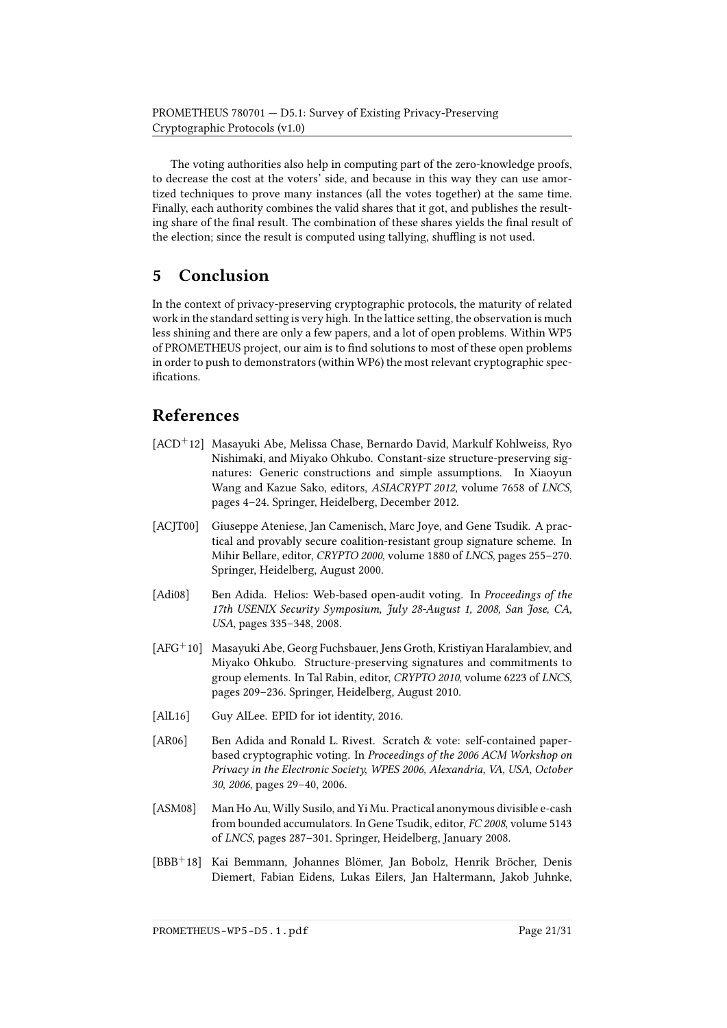The voting authorities also help in computing part of the zero-knowledge proofs, to decrease the cost at the voters' side, and because in this way they can use amortized techniques to prove many instances (all the votes together) at the same time. Finally, each authority combines the valid shares that it got, and publishes the resulting share of the final result. The combination of these shares vields the final result of the election; since the result is computed using tallying, shuffling is not used.

# 5 Conclusion

In the context of privacy-preserving cryptographic protocols, the maturity of related work in the standard setting is very high. In the lattice setting, the observation is much less shining and there are only a few papers, and a lot of open problems. Within WP5 of PROMETHEUS project, our aim is to find solutions to most of these open problems in order to push to demonstrators (within WP6) the most relevant cryptographic specifications.

# References

- <span id="page-20-4"></span>[ACD<sup>+</sup>12] Masayuki Abe, Melissa Chase, Bernardo David, Markulf Kohlweiss, Ryo Nishimaki, and Miyako Ohkubo. Constant-size structure-preserving signatures: Generic constructions and simple assumptions. In Xiaoyun Wang and Kazue Sako, editors, ASIACRYPT 2012, volume 7658 of LNCS, pages 4–24. Springer, Heidelberg, December 2012.
- <span id="page-20-3"></span>[ACJT00] Giuseppe Ateniese, Jan Camenisch, Marc Joye, and Gene Tsudik. A practical and provably secure coalition-resistant group signature scheme. In Mihir Bellare, editor, CRYPTO 2000, volume 1880 of LNCS, pages 255–270. Springer, Heidelberg, August 2000.
- <span id="page-20-7"></span>[Adi08] Ben Adida. Helios: Web-based open-audit voting. In Proceedings of the 17th USENIX Security Symposium, July 28-August 1, 2008, San Jose, CA, USA, pages 335–348, 2008.
- <span id="page-20-2"></span>[AFG<sup>+</sup>10] Masayuki Abe, Georg Fuchsbauer, Jens Groth, Kristiyan Haralambiev, and Miyako Ohkubo. Structure-preserving signatures and commitments to group elements. In Tal Rabin, editor, CRYPTO 2010, volume 6223 of LNCS, pages 209–236. Springer, Heidelberg, August 2010.
- <span id="page-20-0"></span>[AlL16] Guy AlLee. EPID for iot identity, 2016.
- <span id="page-20-6"></span>[AR06] Ben Adida and Ronald L. Rivest. Scratch & vote: self-contained paperbased cryptographic voting. In Proceedings of the 2006 ACM Workshop on Privacy in the Electronic Society, WPES 2006, Alexandria, VA, USA, October 30, 2006, pages 29–40, 2006.
- <span id="page-20-5"></span>[ASM08] Man Ho Au, Willy Susilo, and Yi Mu. Practical anonymous divisible e-cash from bounded accumulators. In Gene Tsudik, editor, FC 2008, volume 5143 of LNCS, pages 287–301. Springer, Heidelberg, January 2008.
- <span id="page-20-1"></span>[BBB<sup>+</sup>18] Kai Bemmann, Johannes Blömer, Jan Bobolz, Henrik Bröcher, Denis Diemert, Fabian Eidens, Lukas Eilers, Jan Haltermann, Jakob Juhnke,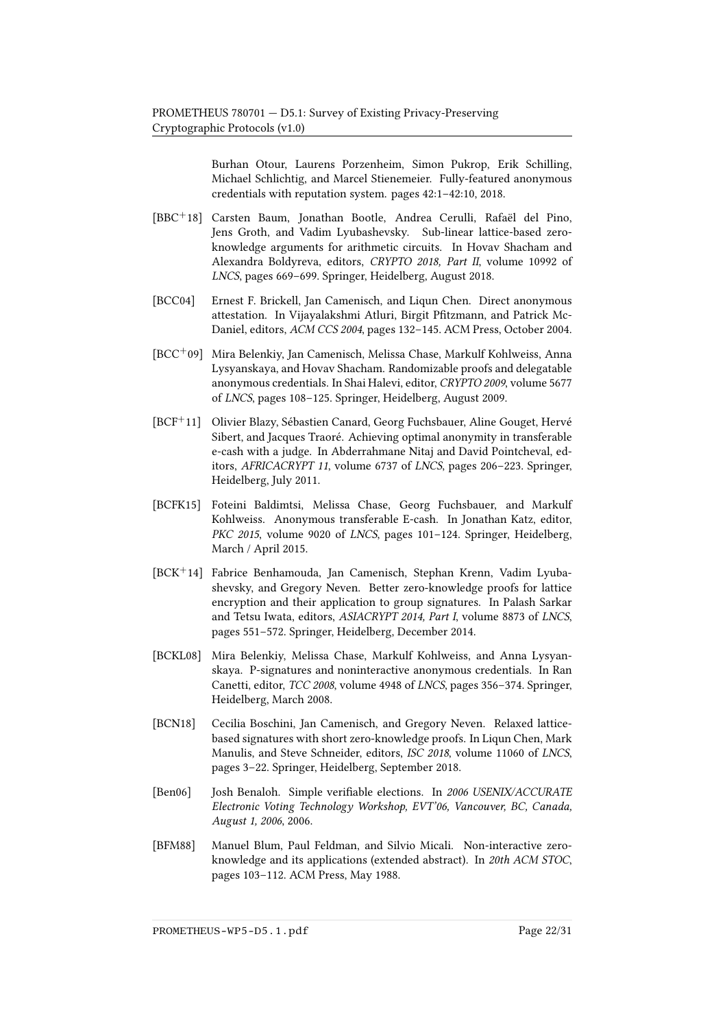Burhan Otour, Laurens Porzenheim, Simon Pukrop, Erik Schilling, Michael Schlichtig, and Marcel Stienemeier. Fully-featured anonymous credentials with reputation system. pages 42:1–42:10, 2018.

- <span id="page-21-9"></span>[BBC+18] Carsten Baum, Jonathan Bootle, Andrea Cerulli, Rafaël del Pino, Jens Groth, and Vadim Lyubashevsky. Sub-linear lattice-based zeroknowledge arguments for arithmetic circuits. In Hovav Shacham and Alexandra Boldyreva, editors, CRYPTO 2018, Part II, volume 10992 of LNCS, pages 669–699. Springer, Heidelberg, August 2018.
- <span id="page-21-0"></span>[BCC04] Ernest F. Brickell, Jan Camenisch, and Liqun Chen. Direct anonymous attestation. In Vijayalakshmi Atluri, Birgit Pfitzmann, and Patrick Mc-Daniel, editors, ACM CCS 2004, pages 132–145. ACM Press, October 2004.
- <span id="page-21-2"></span>[BCC+09] Mira Belenkiy, Jan Camenisch, Melissa Chase, Markulf Kohlweiss, Anna Lysyanskaya, and Hovav Shacham. Randomizable proofs and delegatable anonymous credentials. In Shai Halevi, editor, CRYPTO 2009, volume 5677 of LNCS, pages 108–125. Springer, Heidelberg, August 2009.
- <span id="page-21-6"></span>[BCF<sup>+</sup>11] Olivier Blazy, Sébastien Canard, Georg Fuchsbauer, Aline Gouget, Hervé Sibert, and Jacques Traoré. Achieving optimal anonymity in transferable e-cash with a judge. In Abderrahmane Nitaj and David Pointcheval, editors, AFRICACRYPT 11, volume 6737 of LNCS, pages 206–223. Springer, Heidelberg, July 2011.
- <span id="page-21-5"></span>[BCFK15] Foteini Baldimtsi, Melissa Chase, Georg Fuchsbauer, and Markulf Kohlweiss. Anonymous transferable E-cash. In Jonathan Katz, editor, PKC 2015, volume 9020 of LNCS, pages 101-124. Springer, Heidelberg, March / April 2015.
- <span id="page-21-4"></span>[BCK<sup>+</sup>14] Fabrice Benhamouda, Jan Camenisch, Stephan Krenn, Vadim Lyubashevsky, and Gregory Neven. Better zero-knowledge proofs for lattice encryption and their application to group signatures. In Palash Sarkar and Tetsu Iwata, editors, ASIACRYPT 2014, Part I, volume 8873 of LNCS, pages 551–572. Springer, Heidelberg, December 2014.
- <span id="page-21-1"></span>[BCKL08] Mira Belenkiy, Melissa Chase, Markulf Kohlweiss, and Anna Lysyanskaya. P-signatures and noninteractive anonymous credentials. In Ran Canetti, editor, TCC 2008, volume 4948 of LNCS, pages 356–374. Springer, Heidelberg, March 2008.
- <span id="page-21-3"></span>[BCN18] Cecilia Boschini, Jan Camenisch, and Gregory Neven. Relaxed latticebased signatures with short zero-knowledge proofs. In Liqun Chen, Mark Manulis, and Steve Schneider, editors, ISC 2018, volume 11060 of LNCS, pages 3–22. Springer, Heidelberg, September 2018.
- <span id="page-21-8"></span>[Ben06] Josh Benaloh. Simple verifiable elections. In 2006 USENIX/ACCURATE Electronic Voting Technology Workshop, EVT'06, Vancouver, BC, Canada, August 1, 2006, 2006.
- <span id="page-21-7"></span>[BFM88] Manuel Blum, Paul Feldman, and Silvio Micali. Non-interactive zeroknowledge and its applications (extended abstract). In 20th ACM STOC, pages 103–112. ACM Press, May 1988.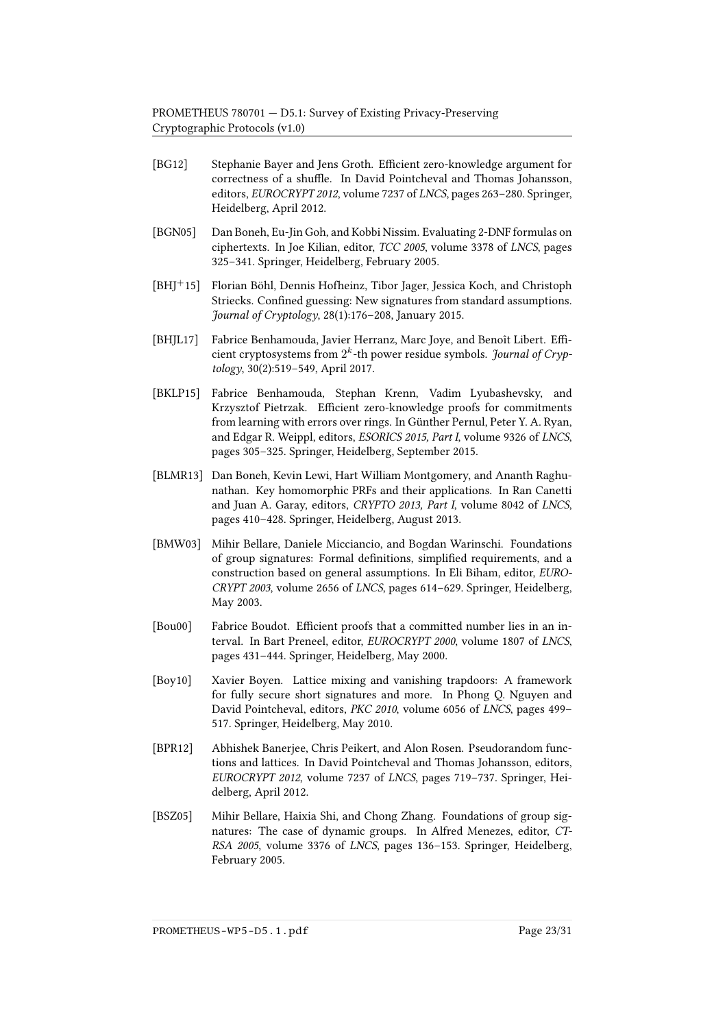- <span id="page-22-6"></span>[BG12] Stephanie Bayer and Jens Groth. Efficient zero-knowledge argument for correctness of a shuffle. In David Pointcheval and Thomas Johansson, editors, EUROCRYPT 2012, volume 7237 of LNCS, pages 263–280. Springer, Heidelberg, April 2012.
- <span id="page-22-7"></span>[BGN05] Dan Boneh, Eu-Jin Goh, and Kobbi Nissim. Evaluating 2-DNF formulas on ciphertexts. In Joe Kilian, editor, TCC 2005, volume 3378 of LNCS, pages 325–341. Springer, Heidelberg, February 2005.
- <span id="page-22-2"></span>[BHJ+15] Florian Böhl, Dennis Hofheinz, Tibor Jager, Jessica Koch, and Christoph Striecks. Confined guessing: New signatures from standard assumptions. Journal of Cryptology,  $28(1):176-208$ , January 2015.
- <span id="page-22-8"></span>[BHJL17] Fabrice Benhamouda, Javier Herranz, Marc Joye, and Benoît Libert. Efficient cryptosystems from  $2^k$ -th power residue symbols. Journal of Cryptology, 30(2):519–549, April 2017.
- <span id="page-22-10"></span>[BKLP15] Fabrice Benhamouda, Stephan Krenn, Vadim Lyubashevsky, and Krzysztof Pietrzak. Efficient zero-knowledge proofs for commitments from learning with errors over rings. In Günther Pernul, Peter Y. A. Ryan, and Edgar R. Weippl, editors, ESORICS 2015, Part I, volume 9326 of LNCS, pages 305–325. Springer, Heidelberg, September 2015.
- <span id="page-22-4"></span>[BLMR13] Dan Boneh, Kevin Lewi, Hart William Montgomery, and Ananth Raghunathan. Key homomorphic PRFs and their applications. In Ran Canetti and Juan A. Garay, editors, CRYPTO 2013, Part I, volume 8042 of LNCS, pages 410–428. Springer, Heidelberg, August 2013.
- <span id="page-22-0"></span>[BMW03] Mihir Bellare, Daniele Micciancio, and Bogdan Warinschi. Foundations of group signatures: Formal definitions, simplified requirements, and a construction based on general assumptions. In Eli Biham, editor, EURO-CRYPT 2003, volume 2656 of LNCS, pages 614–629. Springer, Heidelberg, May 2003.
- <span id="page-22-9"></span>[Bou00] Fabrice Boudot. Efficient proofs that a committed number lies in an interval. In Bart Preneel, editor, EUROCRYPT 2000, volume 1807 of LNCS, pages 431–444. Springer, Heidelberg, May 2000.
- <span id="page-22-3"></span>[Boy10] Xavier Boyen. Lattice mixing and vanishing trapdoors: A framework for fully secure short signatures and more. In Phong Q. Nguyen and David Pointcheval, editors, PKC 2010, volume 6056 of LNCS, pages 499– 517. Springer, Heidelberg, May 2010.
- <span id="page-22-5"></span>[BPR12] Abhishek Banerjee, Chris Peikert, and Alon Rosen. Pseudorandom functions and lattices. In David Pointcheval and Thomas Johansson, editors, EUROCRYPT 2012, volume 7237 of LNCS, pages 719–737. Springer, Heidelberg, April 2012.
- <span id="page-22-1"></span>[BSZ05] Mihir Bellare, Haixia Shi, and Chong Zhang. Foundations of group signatures: The case of dynamic groups. In Alfred Menezes, editor, CT-RSA 2005, volume 3376 of LNCS, pages 136–153. Springer, Heidelberg, February 2005.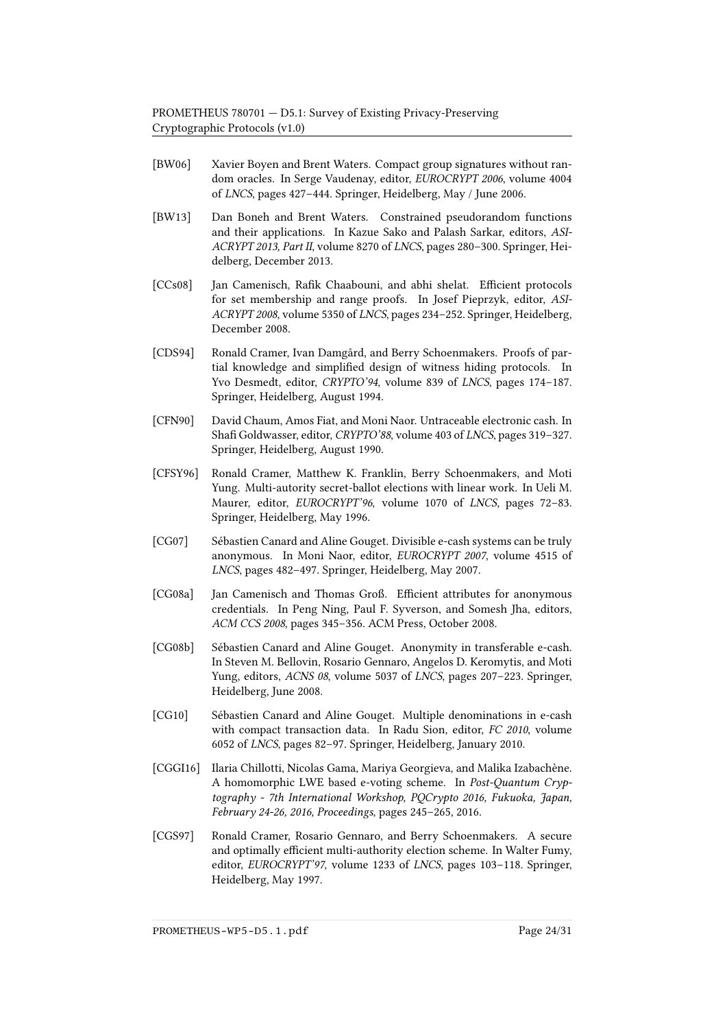- <span id="page-23-1"></span>[BW06] Xavier Boyen and Brent Waters. Compact group signatures without random oracles. In Serge Vaudenay, editor, EUROCRYPT 2006, volume 4004 of LNCS, pages 427–444. Springer, Heidelberg, May / June 2006.
- <span id="page-23-4"></span>[BW13] Dan Boneh and Brent Waters. Constrained pseudorandom functions and their applications. In Kazue Sako and Palash Sarkar, editors, ASI-ACRYPT 2013, Part II, volume 8270 of LNCS, pages 280–300. Springer, Heidelberg, December 2013.
- <span id="page-23-9"></span>[CCs08] Jan Camenisch, Rafik Chaabouni, and abhi shelat. Efficient protocols for set membership and range proofs. In Josef Pieprzyk, editor, ASI-ACRYPT 2008, volume 5350 of LNCS, pages 234–252. Springer, Heidelberg, December 2008.
- <span id="page-23-8"></span>[CDS94] Ronald Cramer, Ivan Damgård, and Berry Schoenmakers. Proofs of partial knowledge and simplified design of witness hiding protocols. In Yvo Desmedt, editor, CRYPTO'94, volume 839 of LNCS, pages 174–187. Springer, Heidelberg, August 1994.
- <span id="page-23-2"></span>[CFN90] David Chaum, Amos Fiat, and Moni Naor. Untraceable electronic cash. In Shafi Goldwasser, editor, CRYPTO'88, volume 403 of LNCS, pages 319-327. Springer, Heidelberg, August 1990.
- <span id="page-23-11"></span>[CFSY96] Ronald Cramer, Matthew K. Franklin, Berry Schoenmakers, and Moti Yung. Multi-autority secret-ballot elections with linear work. In Ueli M. Maurer, editor, EUROCRYPT'96, volume 1070 of LNCS, pages 72–83. Springer, Heidelberg, May 1996.
- <span id="page-23-5"></span>[CG07] Sébastien Canard and Aline Gouget. Divisible e-cash systems can be truly anonymous. In Moni Naor, editor, EUROCRYPT 2007, volume 4515 of LNCS, pages 482–497. Springer, Heidelberg, May 2007.
- <span id="page-23-0"></span>[CG08a] Jan Camenisch and Thomas Groß. Efficient attributes for anonymous credentials. In Peng Ning, Paul F. Syverson, and Somesh Jha, editors, ACM CCS 2008, pages 345–356. ACM Press, October 2008.
- <span id="page-23-3"></span>[CG08b] Sébastien Canard and Aline Gouget. Anonymity in transferable e-cash. In Steven M. Bellovin, Rosario Gennaro, Angelos D. Keromytis, and Moti Yung, editors, ACNS 08, volume 5037 of LNCS, pages 207–223. Springer, Heidelberg, June 2008.
- <span id="page-23-6"></span>[CG10] Sébastien Canard and Aline Gouget. Multiple denominations in e-cash with compact transaction data. In Radu Sion, editor, FC 2010, volume 6052 of LNCS, pages 82–97. Springer, Heidelberg, January 2010.
- <span id="page-23-10"></span>[CGGI16] Ilaria Chillotti, Nicolas Gama, Mariya Georgieva, and Malika Izabachène. A homomorphic LWE based e-voting scheme. In Post-Quantum Cryptography - 7th International Workshop, PQCrypto 2016, Fukuoka, Japan, February 24-26, 2016, Proceedings, pages 245–265, 2016.
- <span id="page-23-7"></span>[CGS97] Ronald Cramer, Rosario Gennaro, and Berry Schoenmakers. A secure and optimally efficient multi-authority election scheme. In Walter Fumy, editor, EUROCRYPT'97, volume 1233 of LNCS, pages 103–118. Springer, Heidelberg, May 1997.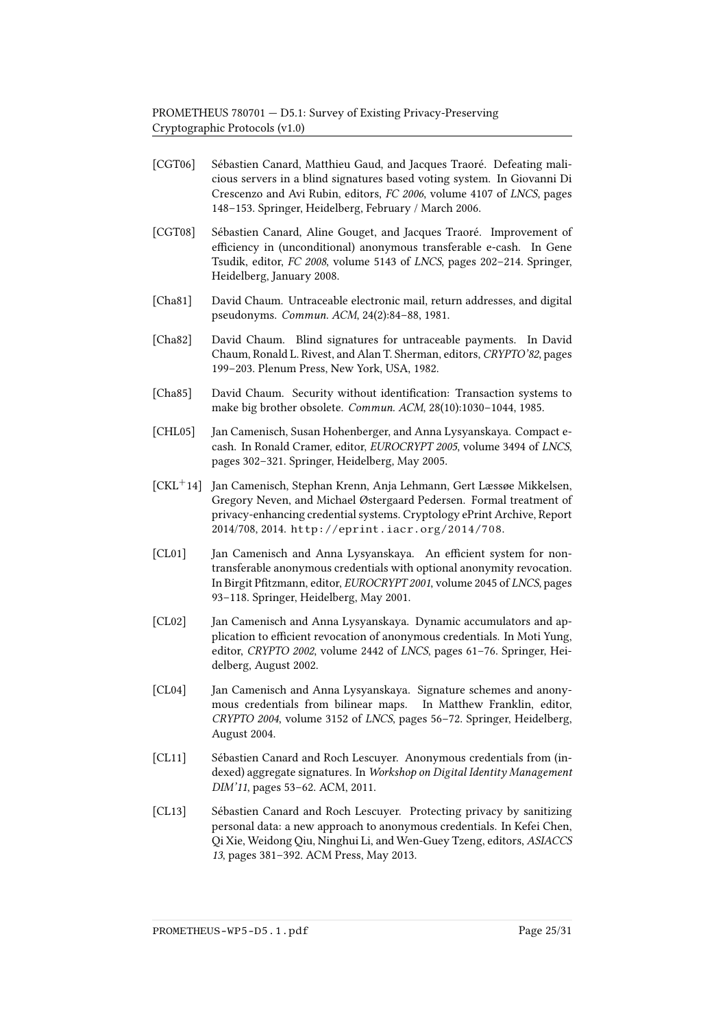- <span id="page-24-11"></span>[CGT06] Sébastien Canard, Matthieu Gaud, and Jacques Traoré. Defeating malicious servers in a blind signatures based voting system. In Giovanni Di Crescenzo and Avi Rubin, editors, FC 2006, volume 4107 of LNCS, pages 148–153. Springer, Heidelberg, February / March 2006.
- <span id="page-24-8"></span>[CGT08] Sébastien Canard, Aline Gouget, and Jacques Traoré. Improvement of efficiency in (unconditional) anonymous transferable e-cash. In Gene Tsudik, editor, FC 2008, volume 5143 of LNCS, pages 202–214. Springer, Heidelberg, January 2008.
- <span id="page-24-10"></span>[Cha81] David Chaum. Untraceable electronic mail, return addresses, and digital pseudonyms. Commun. ACM, 24(2):84–88, 1981.
- <span id="page-24-7"></span>[Cha82] David Chaum. Blind signatures for untraceable payments. In David Chaum, Ronald L. Rivest, and Alan T. Sherman, editors, CRYPTO'82, pages 199–203. Plenum Press, New York, USA, 1982.
- <span id="page-24-0"></span>[Cha85] David Chaum. Security without identification: Transaction systems to make big brother obsolete. Commun. ACM, 28(10):1030–1044, 1985.
- <span id="page-24-9"></span>[CHL05] Jan Camenisch, Susan Hohenberger, and Anna Lysyanskaya. Compact ecash. In Ronald Cramer, editor, EUROCRYPT 2005, volume 3494 of LNCS, pages 302–321. Springer, Heidelberg, May 2005.
- <span id="page-24-4"></span>[CKL<sup>+</sup>14] Jan Camenisch, Stephan Krenn, Anja Lehmann, Gert Læssøe Mikkelsen, Gregory Neven, and Michael Østergaard Pedersen. Formal treatment of privacy-enhancing credential systems. Cryptology ePrint Archive, Report 2014/708, 2014. <http://eprint.iacr.org/2014/708>.
- <span id="page-24-1"></span>[CL01] Jan Camenisch and Anna Lysyanskaya. An efficient system for nontransferable anonymous credentials with optional anonymity revocation. In Birgit Pfitzmann, editor, EUROCRYPT 2001, volume 2045 of LNCS, pages 93–118. Springer, Heidelberg, May 2001.
- <span id="page-24-2"></span>[CL02] Jan Camenisch and Anna Lysyanskaya. Dynamic accumulators and application to efficient revocation of anonymous credentials. In Moti Yung, editor, CRYPTO 2002, volume 2442 of LNCS, pages 61–76. Springer, Heidelberg, August 2002.
- <span id="page-24-3"></span>[CL04] Jan Camenisch and Anna Lysyanskaya. Signature schemes and anonymous credentials from bilinear maps. In Matthew Franklin, editor, CRYPTO 2004, volume 3152 of LNCS, pages 56–72. Springer, Heidelberg, August 2004.
- <span id="page-24-6"></span>[CL11] Sébastien Canard and Roch Lescuyer. Anonymous credentials from (indexed) aggregate signatures. In Workshop on Digital Identity Management DIM'11, pages 53–62. ACM, 2011.
- <span id="page-24-5"></span>[CL13] Sébastien Canard and Roch Lescuyer. Protecting privacy by sanitizing personal data: a new approach to anonymous credentials. In Kefei Chen, Qi Xie, Weidong Qiu, Ninghui Li, and Wen-Guey Tzeng, editors, ASIACCS 13, pages 381–392. ACM Press, May 2013.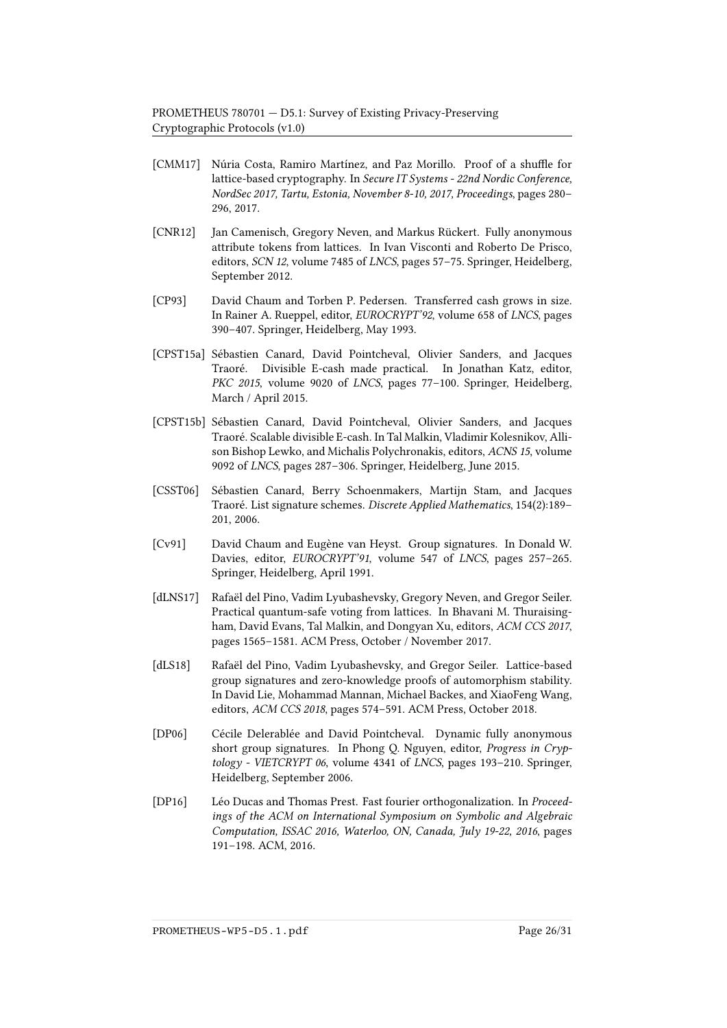- <span id="page-25-9"></span>[CMM17] Núria Costa, Ramiro Martínez, and Paz Morillo. Proof of a shuffle for lattice-based cryptography. In Secure IT Systems - 22nd Nordic Conference, NordSec 2017, Tartu, Estonia, November 8-10, 2017, Proceedings, pages 280– 296, 2017.
- <span id="page-25-3"></span>[CNR12] Jan Camenisch, Gregory Neven, and Markus Rückert. Fully anonymous attribute tokens from lattices. In Ivan Visconti and Roberto De Prisco, editors, SCN 12, volume 7485 of LNCS, pages 57–75. Springer, Heidelberg, September 2012.
- <span id="page-25-5"></span>[CP93] David Chaum and Torben P. Pedersen. Transferred cash grows in size. In Rainer A. Rueppel, editor, EUROCRYPT'92, volume 658 of LNCS, pages 390–407. Springer, Heidelberg, May 1993.
- <span id="page-25-6"></span>[CPST15a] Sébastien Canard, David Pointcheval, Olivier Sanders, and Jacques Traoré. Divisible E-cash made practical. In Jonathan Katz, editor, PKC 2015, volume 9020 of LNCS, pages 77-100. Springer, Heidelberg, March / April 2015.
- <span id="page-25-7"></span>[CPST15b] Sébastien Canard, David Pointcheval, Olivier Sanders, and Jacques Traoré. Scalable divisible E-cash. In Tal Malkin, Vladimir Kolesnikov, Allison Bishop Lewko, and Michalis Polychronakis, editors, ACNS 15, volume 9092 of LNCS, pages 287–306. Springer, Heidelberg, June 2015.
- <span id="page-25-8"></span>[CSST06] Sébastien Canard, Berry Schoenmakers, Martijn Stam, and Jacques Traoré. List signature schemes. Discrete Applied Mathematics, 154(2):189– 201, 2006.
- <span id="page-25-0"></span>[Cv91] David Chaum and Eugène van Heyst. Group signatures. In Donald W. Davies, editor, EUROCRYPT'91, volume 547 of LNCS, pages 257–265. Springer, Heidelberg, April 1991.
- <span id="page-25-10"></span>[dLNS17] Rafaël del Pino, Vadim Lyubashevsky, Gregory Neven, and Gregor Seiler. Practical quantum-safe voting from lattices. In Bhavani M. Thuraisingham, David Evans, Tal Malkin, and Dongyan Xu, editors, ACM CCS 2017, pages 1565–1581. ACM Press, October / November 2017.
- <span id="page-25-1"></span>[dLS18] Rafaël del Pino, Vadim Lyubashevsky, and Gregor Seiler. Lattice-based group signatures and zero-knowledge proofs of automorphism stability. In David Lie, Mohammad Mannan, Michael Backes, and XiaoFeng Wang, editors, ACM CCS 2018, pages 574–591. ACM Press, October 2018.
- <span id="page-25-2"></span>[DP06] Cécile Delerablée and David Pointcheval. Dynamic fully anonymous short group signatures. In Phong Q. Nguyen, editor, Progress in Cryptology - VIETCRYPT 06, volume 4341 of LNCS, pages 193–210. Springer, Heidelberg, September 2006.
- <span id="page-25-4"></span>[DP16] Léo Ducas and Thomas Prest. Fast fourier orthogonalization. In Proceedings of the ACM on International Symposium on Symbolic and Algebraic Computation, ISSAC 2016, Waterloo, ON, Canada, July 19-22, 2016, pages 191–198. ACM, 2016.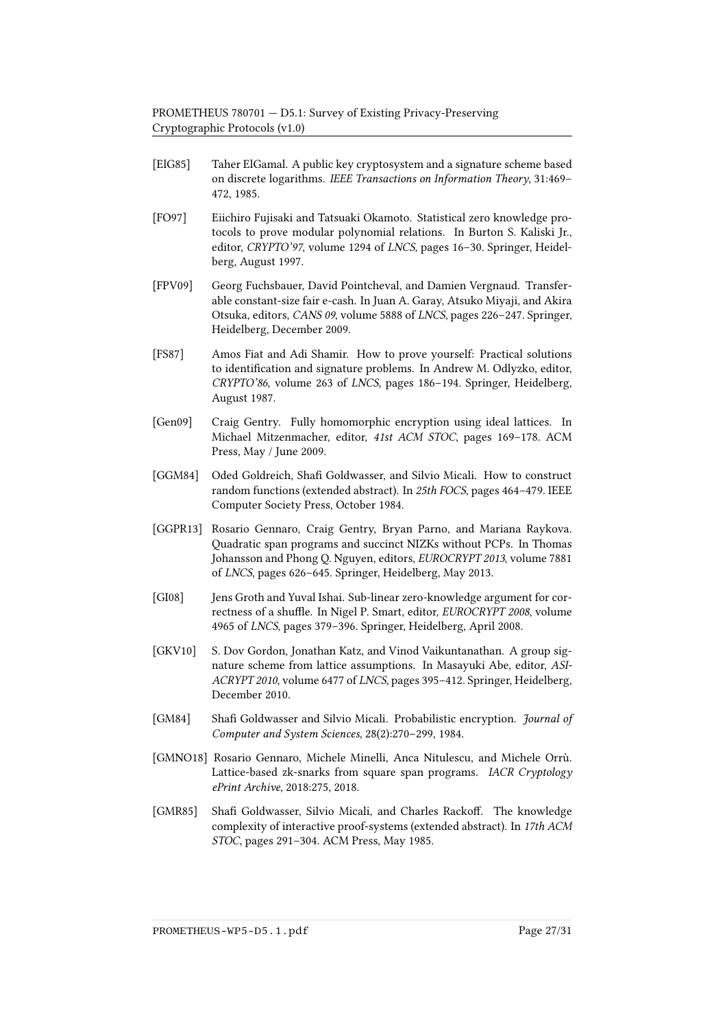- <span id="page-26-4"></span>[ElG85] Taher ElGamal. A public key cryptosystem and a signature scheme based on discrete logarithms. IEEE Transactions on Information Theory, 31:469– 472, 1985.
- <span id="page-26-9"></span>[FO97] Eiichiro Fujisaki and Tatsuaki Okamoto. Statistical zero knowledge protocols to prove modular polynomial relations. In Burton S. Kaliski Jr., editor, CRYPTO'97, volume 1294 of LNCS, pages 16–30. Springer, Heidelberg, August 1997.
- <span id="page-26-1"></span>[FPV09] Georg Fuchsbauer, David Pointcheval, and Damien Vergnaud. Transferable constant-size fair e-cash. In Juan A. Garay, Atsuko Miyaji, and Akira Otsuka, editors, CANS 09, volume 5888 of LNCS, pages 226–247. Springer, Heidelberg, December 2009.
- <span id="page-26-7"></span>[FS87] Amos Fiat and Adi Shamir. How to prove yourself: Practical solutions to identification and signature problems. In Andrew M. Odlyzko, editor, CRYPTO'86, volume 263 of LNCS, pages 186–194. Springer, Heidelberg, August 1987.
- <span id="page-26-11"></span>[Gen09] Craig Gentry. Fully homomorphic encryption using ideal lattices. In Michael Mitzenmacher, editor, 41st ACM STOC, pages 169–178. ACM Press, May / June 2009.
- <span id="page-26-2"></span>[GGM84] Oded Goldreich, Shafi Goldwasser, and Silvio Micali. How to construct random functions (extended abstract). In 25th FOCS, pages 464–479. IEEE Computer Society Press, October 1984.
- <span id="page-26-8"></span>[GGPR13] Rosario Gennaro, Craig Gentry, Bryan Parno, and Mariana Raykova. Quadratic span programs and succinct NIZKs without PCPs. In Thomas Johansson and Phong Q. Nguyen, editors, EUROCRYPT 2013, volume 7881 of LNCS, pages 626–645. Springer, Heidelberg, May 2013.
- <span id="page-26-3"></span>[GI08] Jens Groth and Yuval Ishai. Sub-linear zero-knowledge argument for correctness of a shuffle. In Nigel P. Smart, editor, EUROCRYPT 2008, volume 4965 of LNCS, pages 379–396. Springer, Heidelberg, April 2008.
- <span id="page-26-0"></span>[GKV10] S. Dov Gordon, Jonathan Katz, and Vinod Vaikuntanathan. A group signature scheme from lattice assumptions. In Masayuki Abe, editor, ASI-ACRYPT 2010, volume 6477 of LNCS, pages 395–412. Springer, Heidelberg, December 2010.
- <span id="page-26-5"></span>[GM84] Shafi Goldwasser and Silvio Micali. Probabilistic encryption. Journal of Computer and System Sciences, 28(2):270–299, 1984.
- <span id="page-26-10"></span>[GMNO18] Rosario Gennaro, Michele Minelli, Anca Nitulescu, and Michele Orrù. Lattice-based zk-snarks from square span programs. IACR Cryptology ePrint Archive, 2018:275, 2018.
- <span id="page-26-6"></span>[GMR85] Shafi Goldwasser, Silvio Micali, and Charles Rackoff. The knowledge complexity of interactive proof-systems (extended abstract). In 17th ACM STOC, pages 291–304. ACM Press, May 1985.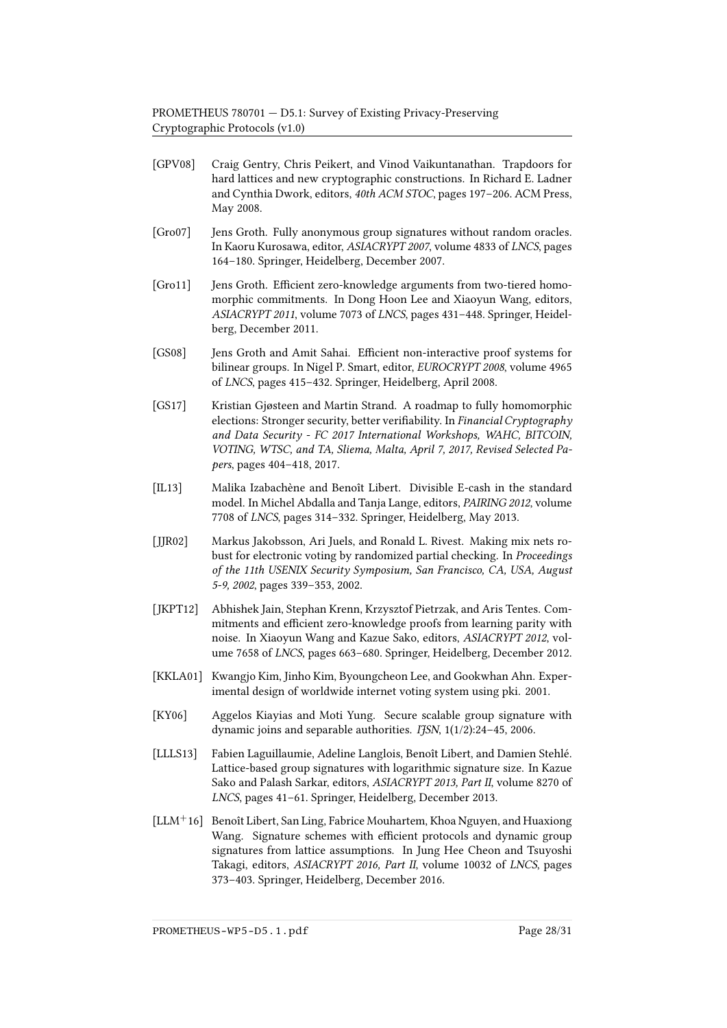- <span id="page-27-3"></span>[GPV08] Craig Gentry, Chris Peikert, and Vinod Vaikuntanathan. Trapdoors for hard lattices and new cryptographic constructions. In Richard E. Ladner and Cynthia Dwork, editors, 40th ACM STOC, pages 197–206. ACM Press, May 2008.
- <span id="page-27-1"></span>[Gro07] Jens Groth. Fully anonymous group signatures without random oracles. In Kaoru Kurosawa, editor, ASIACRYPT 2007, volume 4833 of LNCS, pages 164–180. Springer, Heidelberg, December 2007.
- <span id="page-27-10"></span>[Gro11] Jens Groth. Efficient zero-knowledge arguments from two-tiered homomorphic commitments. In Dong Hoon Lee and Xiaoyun Wang, editors, ASIACRYPT 2011, volume 7073 of LNCS, pages 431–448. Springer, Heidelberg, December 2011.
- <span id="page-27-8"></span>[GS08] Jens Groth and Amit Sahai. Efficient non-interactive proof systems for bilinear groups. In Nigel P. Smart, editor, EUROCRYPT 2008, volume 4965 of LNCS, pages 415–432. Springer, Heidelberg, April 2008.
- <span id="page-27-11"></span>[GS17] Kristian Gjøsteen and Martin Strand. A roadmap to fully homomorphic elections: Stronger security, better verifiability. In Financial Cryptography and Data Security - FC 2017 International Workshops, WAHC, BITCOIN, VOTING, WTSC, and TA, Sliema, Malta, April 7, 2017, Revised Selected Papers, pages 404–418, 2017.
- <span id="page-27-5"></span>[IL13] Malika Izabachène and Benoît Libert. Divisible E-cash in the standard model. In Michel Abdalla and Tanja Lange, editors, PAIRING 2012, volume 7708 of LNCS, pages 314–332. Springer, Heidelberg, May 2013.
- <span id="page-27-6"></span>[JJR02] Markus Jakobsson, Ari Juels, and Ronald L. Rivest. Making mix nets robust for electronic voting by randomized partial checking. In Proceedings of the 11th USENIX Security Symposium, San Francisco, CA, USA, August 5-9, 2002, pages 339–353, 2002.
- <span id="page-27-9"></span>[JKPT12] Abhishek Jain, Stephan Krenn, Krzysztof Pietrzak, and Aris Tentes. Commitments and efficient zero-knowledge proofs from learning parity with noise. In Xiaoyun Wang and Kazue Sako, editors, ASIACRYPT 2012, volume 7658 of LNCS, pages 663–680. Springer, Heidelberg, December 2012.
- <span id="page-27-7"></span>[KKLA01] Kwangjo Kim, Jinho Kim, Byoungcheon Lee, and Gookwhan Ahn. Experimental design of worldwide internet voting system using pki. 2001.
- <span id="page-27-0"></span>[KY06] Aggelos Kiayias and Moti Yung. Secure scalable group signature with dynamic joins and separable authorities.  $I$ *fSN*,  $1(1/2)$ :24-45, 2006.
- <span id="page-27-2"></span>[LLLS13] Fabien Laguillaumie, Adeline Langlois, Benoît Libert, and Damien Stehlé. Lattice-based group signatures with logarithmic signature size. In Kazue Sako and Palash Sarkar, editors, ASIACRYPT 2013, Part II, volume 8270 of LNCS, pages 41–61. Springer, Heidelberg, December 2013.
- <span id="page-27-4"></span>[LLM<sup>+</sup>16] Benoît Libert, San Ling, Fabrice Mouhartem, Khoa Nguyen, and Huaxiong Wang. Signature schemes with efficient protocols and dynamic group signatures from lattice assumptions. In Jung Hee Cheon and Tsuyoshi Takagi, editors, ASIACRYPT 2016, Part II, volume 10032 of LNCS, pages 373–403. Springer, Heidelberg, December 2016.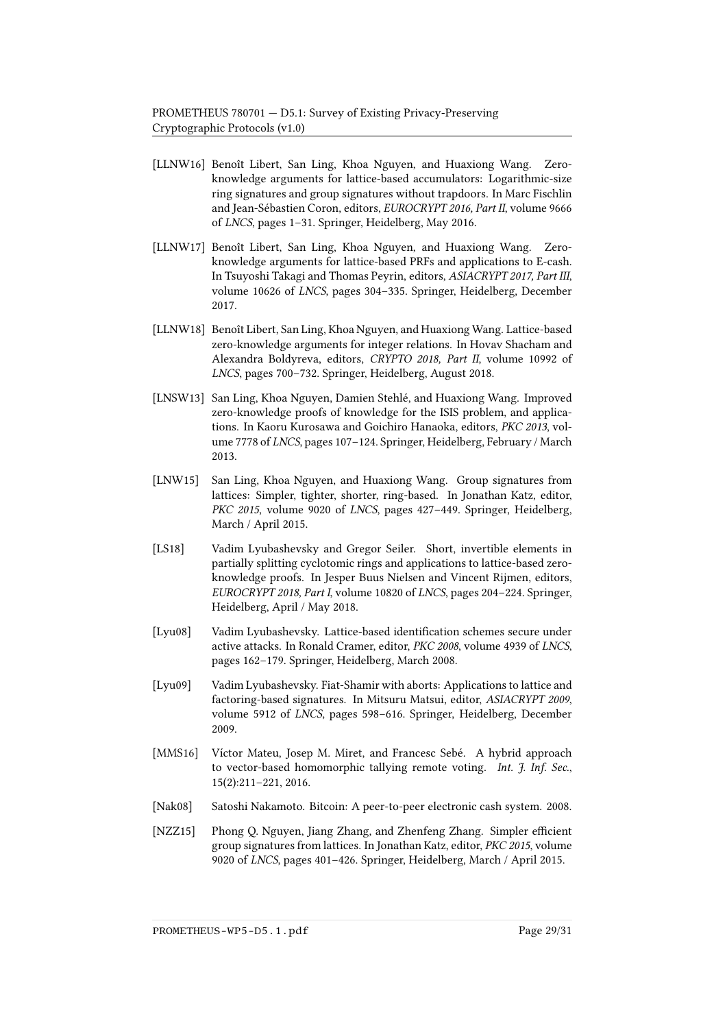- <span id="page-28-2"></span>[LLNW16] Benoît Libert, San Ling, Khoa Nguyen, and Huaxiong Wang. Zeroknowledge arguments for lattice-based accumulators: Logarithmic-size ring signatures and group signatures without trapdoors. In Marc Fischlin and Jean-Sébastien Coron, editors, EUROCRYPT 2016, Part II, volume 9666 of LNCS, pages 1–31. Springer, Heidelberg, May 2016.
- <span id="page-28-5"></span>[LLNW17] Benoît Libert, San Ling, Khoa Nguyen, and Huaxiong Wang. Zeroknowledge arguments for lattice-based PRFs and applications to E-cash. In Tsuyoshi Takagi and Thomas Peyrin, editors, ASIACRYPT 2017, Part III, volume 10626 of LNCS, pages 304–335. Springer, Heidelberg, December 2017.
- <span id="page-28-10"></span>[LLNW18] Benoît Libert, San Ling, Khoa Nguyen, and Huaxiong Wang. Lattice-based zero-knowledge arguments for integer relations. In Hovav Shacham and Alexandra Boldyreva, editors, CRYPTO 2018, Part II, volume 10992 of LNCS, pages 700–732. Springer, Heidelberg, August 2018.
- <span id="page-28-6"></span>[LNSW13] San Ling, Khoa Nguyen, Damien Stehlé, and Huaxiong Wang. Improved zero-knowledge proofs of knowledge for the ISIS problem, and applications. In Kaoru Kurosawa and Goichiro Hanaoka, editors, PKC 2013, volume 7778 of LNCS, pages 107–124. Springer, Heidelberg, February / March 2013.
- <span id="page-28-1"></span>[LNW15] San Ling, Khoa Nguyen, and Huaxiong Wang. Group signatures from lattices: Simpler, tighter, shorter, ring-based. In Jonathan Katz, editor, PKC 2015, volume 9020 of LNCS, pages 427–449. Springer, Heidelberg, March / April 2015.
- <span id="page-28-9"></span>[LS18] Vadim Lyubashevsky and Gregor Seiler. Short, invertible elements in partially splitting cyclotomic rings and applications to lattice-based zeroknowledge proofs. In Jesper Buus Nielsen and Vincent Rijmen, editors, EUROCRYPT 2018, Part I, volume 10820 of LNCS, pages 204–224. Springer, Heidelberg, April / May 2018.
- <span id="page-28-8"></span>[Lyu08] Vadim Lyubashevsky. Lattice-based identification schemes secure under active attacks. In Ronald Cramer, editor, PKC 2008, volume 4939 of LNCS, pages 162–179. Springer, Heidelberg, March 2008.
- <span id="page-28-3"></span>[Lyu09] Vadim Lyubashevsky. Fiat-Shamir with aborts: Applications to lattice and factoring-based signatures. In Mitsuru Matsui, editor, ASIACRYPT 2009, volume 5912 of LNCS, pages 598–616. Springer, Heidelberg, December 2009.
- <span id="page-28-7"></span>[MMS16] Víctor Mateu, Josep M. Miret, and Francesc Sebé. A hybrid approach to vector-based homomorphic tallying remote voting. Int. J. Inf. Sec., 15(2):211–221, 2016.
- <span id="page-28-4"></span>[Nak08] Satoshi Nakamoto. Bitcoin: A peer-to-peer electronic cash system. 2008.
- <span id="page-28-0"></span>[NZZ15] Phong Q. Nguyen, Jiang Zhang, and Zhenfeng Zhang. Simpler efficient group signatures from lattices. In Jonathan Katz, editor, PKC 2015, volume 9020 of LNCS, pages 401–426. Springer, Heidelberg, March / April 2015.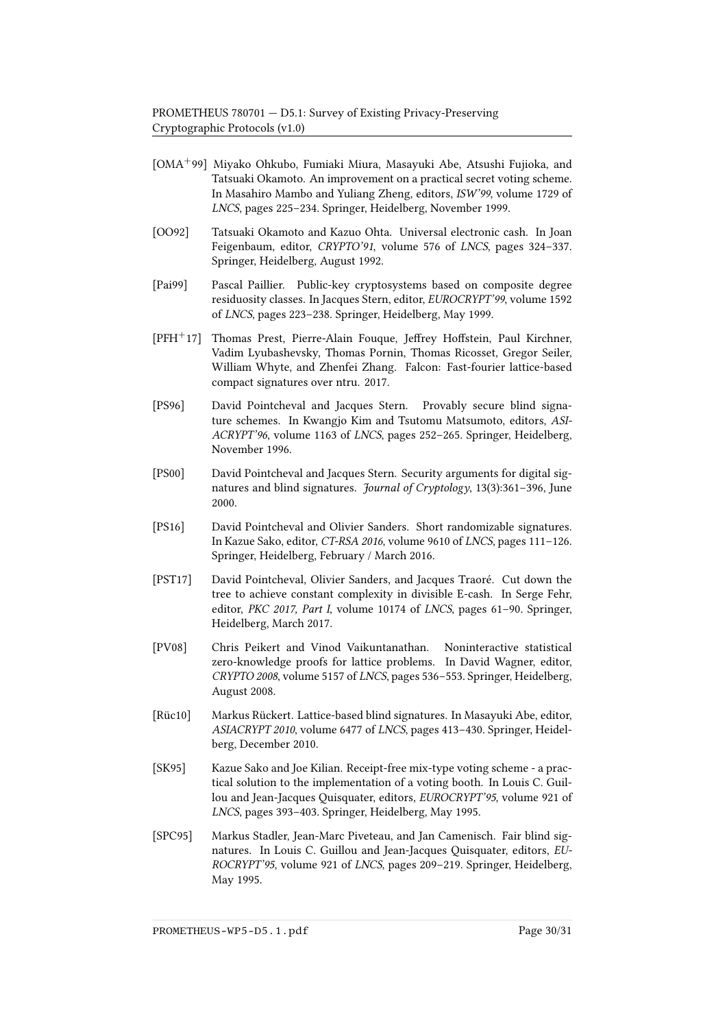- <span id="page-29-7"></span>[OMA+99] Miyako Ohkubo, Fumiaki Miura, Masayuki Abe, Atsushi Fujioka, and Tatsuaki Okamoto. An improvement on a practical secret voting scheme. In Masahiro Mambo and Yuliang Zheng, editors, ISW'99, volume 1729 of LNCS, pages 225–234. Springer, Heidelberg, November 1999.
- <span id="page-29-4"></span>[OO92] Tatsuaki Okamoto and Kazuo Ohta. Universal electronic cash. In Joan Feigenbaum, editor, CRYPTO'91, volume 576 of LNCS, pages 324–337. Springer, Heidelberg, August 1992.
- <span id="page-29-9"></span>[Pai99] Pascal Paillier. Public-key cryptosystems based on composite degree residuosity classes. In Jacques Stern, editor, EUROCRYPT'99, volume 1592 of LNCS, pages 223–238. Springer, Heidelberg, May 1999.
- <span id="page-29-0"></span>[PFH+17] Thomas Prest, Pierre-Alain Fouque, Jeffrey Hoffstein, Paul Kirchner, Vadim Lyubashevsky, Thomas Pornin, Thomas Ricosset, Gregor Seiler, William Whyte, and Zhenfei Zhang. Falcon: Fast-fourier lattice-based compact signatures over ntru. 2017.
- <span id="page-29-1"></span>[PS96] David Pointcheval and Jacques Stern. Provably secure blind signature schemes. In Kwangjo Kim and Tsutomu Matsumoto, editors, ASI-ACRYPT'96, volume 1163 of LNCS, pages 252–265. Springer, Heidelberg, November 1996.
- <span id="page-29-2"></span>[PS00] David Pointcheval and Jacques Stern. Security arguments for digital signatures and blind signatures. *Journal of Cryptology*, 13(3):361-396, June 2000.
- <span id="page-29-3"></span>[PS16] David Pointcheval and Olivier Sanders. Short randomizable signatures. In Kazue Sako, editor, CT-RSA 2016, volume 9610 of LNCS, pages 111–126. Springer, Heidelberg, February / March 2016.
- <span id="page-29-5"></span>[PST17] David Pointcheval, Olivier Sanders, and Jacques Traoré. Cut down the tree to achieve constant complexity in divisible E-cash. In Serge Fehr, editor, PKC 2017, Part I, volume 10174 of LNCS, pages 61–90. Springer, Heidelberg, March 2017.
- <span id="page-29-11"></span>[PV08] Chris Peikert and Vinod Vaikuntanathan. Noninteractive statistical zero-knowledge proofs for lattice problems. In David Wagner, editor, CRYPTO 2008, volume 5157 of LNCS, pages 536–553. Springer, Heidelberg, August 2008.
- <span id="page-29-10"></span>[Rüc10] Markus Rückert. Lattice-based blind signatures. In Masayuki Abe, editor, ASIACRYPT 2010, volume 6477 of LNCS, pages 413–430. Springer, Heidelberg, December 2010.
- <span id="page-29-6"></span>[SK95] Kazue Sako and Joe Kilian. Receipt-free mix-type voting scheme - a practical solution to the implementation of a voting booth. In Louis C. Guillou and Jean-Jacques Quisquater, editors, EUROCRYPT'95, volume 921 of LNCS, pages 393–403. Springer, Heidelberg, May 1995.
- <span id="page-29-8"></span>[SPC95] Markus Stadler, Jean-Marc Piveteau, and Jan Camenisch. Fair blind signatures. In Louis C. Guillou and Jean-Jacques Quisquater, editors, EU-ROCRYPT'95, volume 921 of LNCS, pages 209–219. Springer, Heidelberg, May 1995.